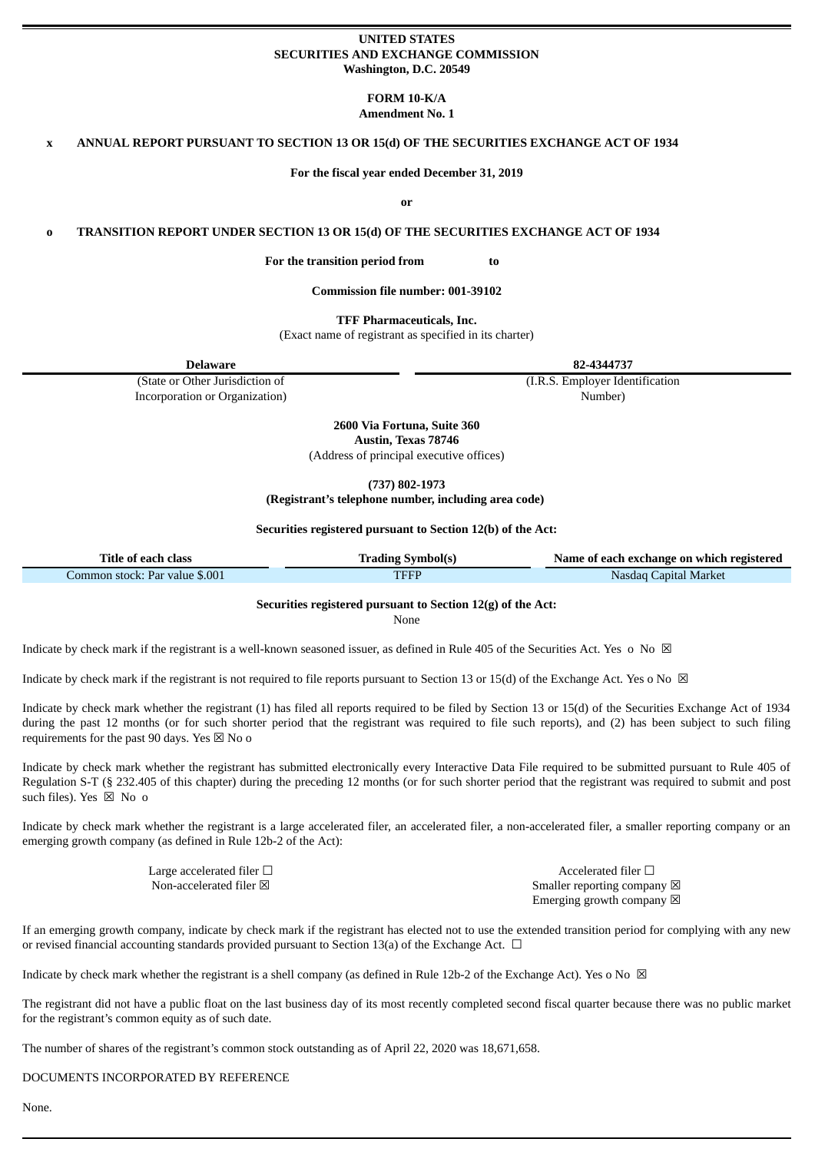### **UNITED STATES SECURITIES AND EXCHANGE COMMISSION Washington, D.C. 20549**

**FORM 10-K/A Amendment No. 1**

**x ANNUAL REPORT PURSUANT TO SECTION 13 OR 15(d) OF THE SECURITIES EXCHANGE ACT OF 1934**

**For the fiscal year ended December 31, 2019**

**or**

**o TRANSITION REPORT UNDER SECTION 13 OR 15(d) OF THE SECURITIES EXCHANGE ACT OF 1934**

**For the transition period from to**

**Commission file number: 001-39102**

**TFF Pharmaceuticals, Inc.**

(Exact name of registrant as specified in its charter)

**Delaware 82-4344737**

(State or Other Jurisdiction of Incorporation or Organization) (I.R.S. Employer Identification Number)

**2600 Via Fortuna, Suite 360 Austin, Texas 78746**

(Address of principal executive offices)

**(737) 802-1973**

**(Registrant's telephone number, including area code)**

#### **Securities registered pursuant to Section 12(b) of the Act:**

| Title of each class            | <b>Trading Symbol(s)</b> | Name of each exchange on which registered |
|--------------------------------|--------------------------|-------------------------------------------|
| Common stock: Par value \$.001 | TFFP                     | Nasdag Capital Market                     |

# **Securities registered pursuant to Section 12(g) of the Act:**

None

Indicate by check mark if the registrant is a well-known seasoned issuer, as defined in Rule 405 of the Securities Act. Yes o No  $\boxtimes$ 

Indicate by check mark if the registrant is not required to file reports pursuant to Section 13 or 15(d) of the Exchange Act. Yes o No  $\boxtimes$ 

Indicate by check mark whether the registrant (1) has filed all reports required to be filed by Section 13 or 15(d) of the Securities Exchange Act of 1934 during the past 12 months (or for such shorter period that the registrant was required to file such reports), and (2) has been subject to such filing requirements for the past 90 days. Yes  $\times$  No o

Indicate by check mark whether the registrant has submitted electronically every Interactive Data File required to be submitted pursuant to Rule 405 of Regulation S-T (§ 232.405 of this chapter) during the preceding 12 months (or for such shorter period that the registrant was required to submit and post such files). Yes  $\boxtimes$  No o

Indicate by check mark whether the registrant is a large accelerated filer, an accelerated filer, a non-accelerated filer, a smaller reporting company or an emerging growth company (as defined in Rule 12b-2 of the Act):

 $\Box$  Large accelerated filer  $\Box$ <br>
Non-accelerated filer  $\boxtimes$ 

Smaller reporting company  $\boxtimes$ Emerging growth company  $\boxtimes$ 

If an emerging growth company, indicate by check mark if the registrant has elected not to use the extended transition period for complying with any new or revised financial accounting standards provided pursuant to Section 13(a) of the Exchange Act.  $\Box$ 

Indicate by check mark whether the registrant is a shell company (as defined in Rule 12b-2 of the Exchange Act). Yes o No  $\boxtimes$ 

The registrant did not have a public float on the last business day of its most recently completed second fiscal quarter because there was no public market for the registrant's common equity as of such date.

The number of shares of the registrant's common stock outstanding as of April 22, 2020 was 18,671,658.

DOCUMENTS INCORPORATED BY REFERENCE

None.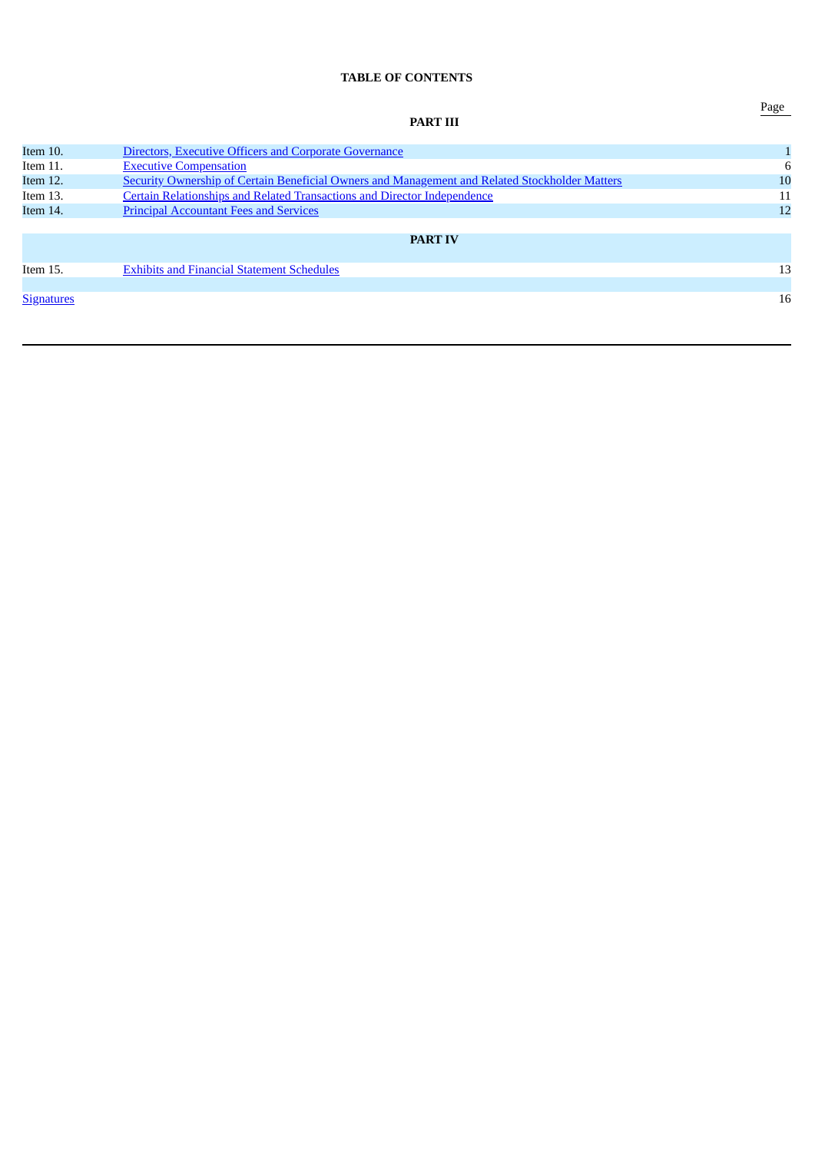# **TABLE OF CONTENTS**

|                   | <b>PART III</b>                                                                                | r age |
|-------------------|------------------------------------------------------------------------------------------------|-------|
| Item 10.          | Directors, Executive Officers and Corporate Governance                                         |       |
| Item 11.          | <b>Executive Compensation</b>                                                                  | 6     |
| Item 12.          | Security Ownership of Certain Beneficial Owners and Management and Related Stockholder Matters | 10    |
| Item 13.          | <b>Certain Relationships and Related Transactions and Director Independence</b>                | 11    |
| Item 14.          | <b>Principal Accountant Fees and Services</b>                                                  | 12    |
|                   |                                                                                                |       |
|                   | <b>PART IV</b>                                                                                 |       |
| Item 15.          | <b>Exhibits and Financial Statement Schedules</b>                                              | 13    |
|                   |                                                                                                |       |
| <b>Signatures</b> |                                                                                                | 16    |

Page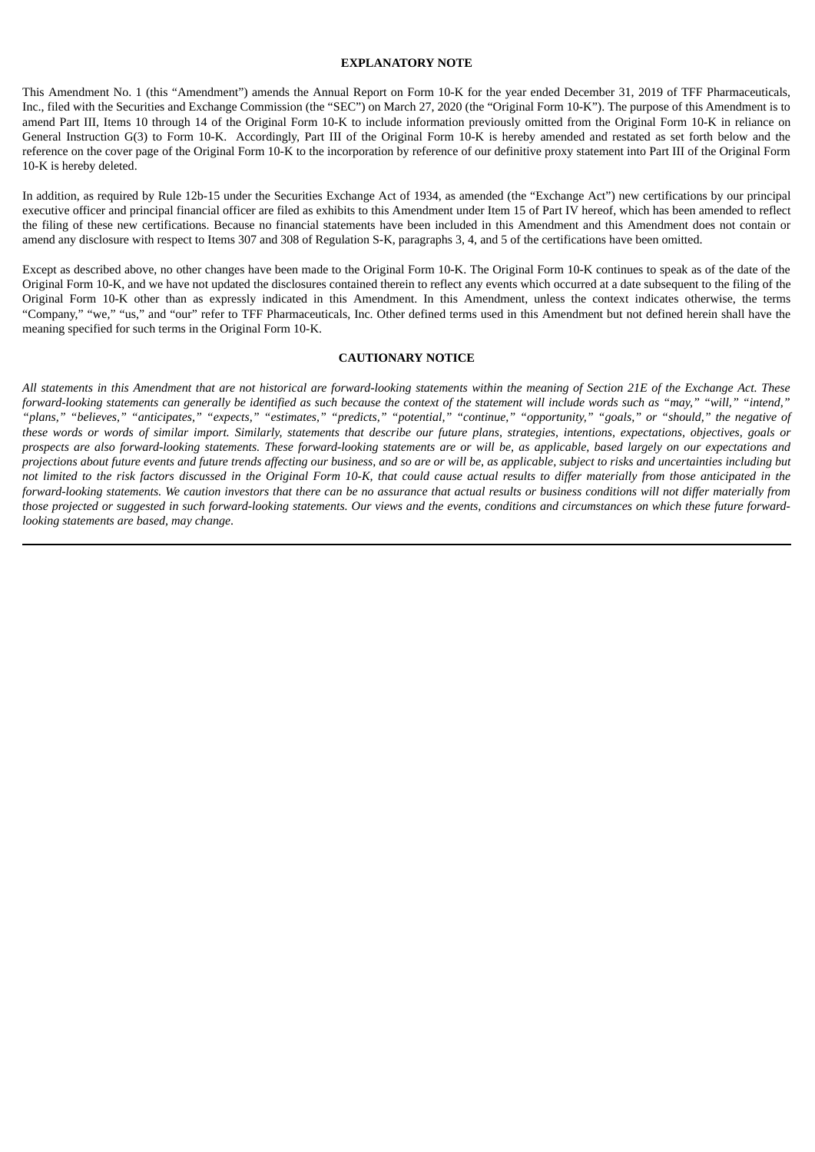### **EXPLANATORY NOTE**

This Amendment No. 1 (this "Amendment") amends the Annual Report on Form 10-K for the year ended December 31, 2019 of TFF Pharmaceuticals, Inc., filed with the Securities and Exchange Commission (the "SEC") on March 27, 2020 (the "Original Form 10-K"). The purpose of this Amendment is to amend Part III, Items 10 through 14 of the Original Form 10-K to include information previously omitted from the Original Form 10-K in reliance on General Instruction G(3) to Form 10-K. Accordingly, Part III of the Original Form 10-K is hereby amended and restated as set forth below and the reference on the cover page of the Original Form 10-K to the incorporation by reference of our definitive proxy statement into Part III of the Original Form 10-K is hereby deleted.

In addition, as required by Rule 12b-15 under the Securities Exchange Act of 1934, as amended (the "Exchange Act") new certifications by our principal executive officer and principal financial officer are filed as exhibits to this Amendment under Item 15 of Part IV hereof, which has been amended to reflect the filing of these new certifications. Because no financial statements have been included in this Amendment and this Amendment does not contain or amend any disclosure with respect to Items 307 and 308 of Regulation S-K, paragraphs 3, 4, and 5 of the certifications have been omitted.

Except as described above, no other changes have been made to the Original Form 10-K. The Original Form 10-K continues to speak as of the date of the Original Form 10-K, and we have not updated the disclosures contained therein to reflect any events which occurred at a date subsequent to the filing of the Original Form 10-K other than as expressly indicated in this Amendment. In this Amendment, unless the context indicates otherwise, the terms "Company," "we," "us," and "our" refer to TFF Pharmaceuticals, Inc. Other defined terms used in this Amendment but not defined herein shall have the meaning specified for such terms in the Original Form 10-K.

# **CAUTIONARY NOTICE**

All statements in this Amendment that are not historical are forward-looking statements within the meaning of Section 21E of the Exchange Act. These forward-looking statements can generally be identified as such because the context of the statement will include words such as "may," "will," "intend," .<br>"plans," "believes," "anticipates," "expects," "estimates," "predicts," "potential," "continue," "opportunity," "goals," or "should," the negative of these words or words of similar import. Similarly, statements that describe our future plans, strategies, intentions, expectations, objectives, goals or prospects are also forward-looking statements. These forward-looking statements are or will be, as applicable, based largely on our expectations and projections about future events and future trends affecting our business, and so are or will be, as applicable, subject to risks and uncertainties including but not limited to the risk factors discussed in the Original Form 10-K, that could cause actual results to differ materially from those anticipated in the forward-looking statements. We caution investors that there can be no assurance that actual results or business conditions will not differ materially from those projected or suggested in such forward-looking statements. Our views and the events, conditions and circumstances on which these future forward*looking statements are based, may change*.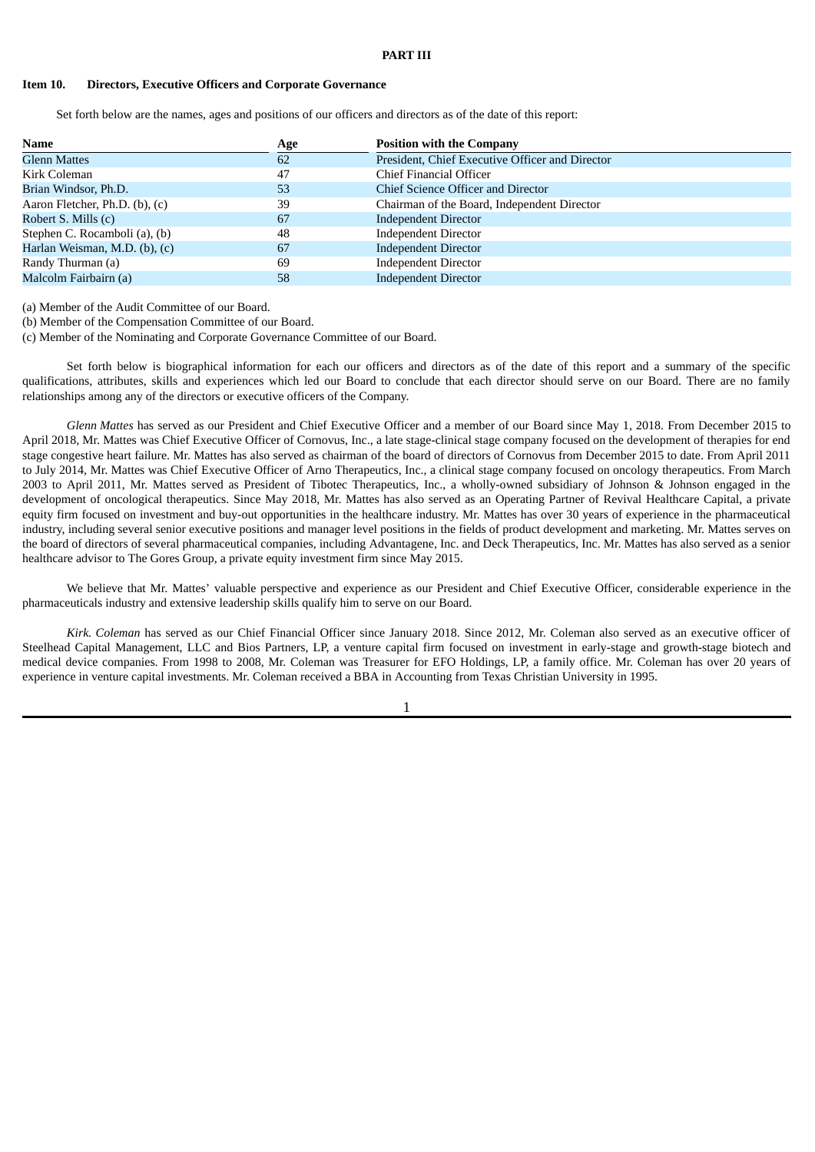### <span id="page-3-0"></span>**Item 10. Directors, Executive Officers and Corporate Governance**

Set forth below are the names, ages and positions of our officers and directors as of the date of this report:

| <b>Name</b>                    | Age | <b>Position with the Company</b>                |
|--------------------------------|-----|-------------------------------------------------|
| <b>Glenn Mattes</b>            | 62  | President, Chief Executive Officer and Director |
| Kirk Coleman                   | 47  | Chief Financial Officer                         |
| Brian Windsor, Ph.D.           | 53  | Chief Science Officer and Director              |
| Aaron Fletcher, Ph.D. (b), (c) | 39  | Chairman of the Board, Independent Director     |
| Robert S. Mills (c)            | 67  | <b>Independent Director</b>                     |
| Stephen C. Rocamboli (a), (b)  | 48  | <b>Independent Director</b>                     |
| Harlan Weisman, M.D. (b), (c)  | 67  | <b>Independent Director</b>                     |
| Randy Thurman (a)              | 69  | <b>Independent Director</b>                     |
| Malcolm Fairbairn (a)          | 58  | <b>Independent Director</b>                     |

(a) Member of the Audit Committee of our Board.

(b) Member of the Compensation Committee of our Board.

(c) Member of the Nominating and Corporate Governance Committee of our Board.

Set forth below is biographical information for each our officers and directors as of the date of this report and a summary of the specific qualifications, attributes, skills and experiences which led our Board to conclude that each director should serve on our Board. There are no family relationships among any of the directors or executive officers of the Company.

*Glenn Mattes* has served as our President and Chief Executive Officer and a member of our Board since May 1, 2018. From December 2015 to April 2018, Mr. Mattes was Chief Executive Officer of Cornovus, Inc., a late stage-clinical stage company focused on the development of therapies for end stage congestive heart failure. Mr. Mattes has also served as chairman of the board of directors of Cornovus from December 2015 to date. From April 2011 to July 2014, Mr. Mattes was Chief Executive Officer of Arno Therapeutics, Inc., a clinical stage company focused on oncology therapeutics. From March 2003 to April 2011, Mr. Mattes served as President of Tibotec Therapeutics, Inc., a wholly-owned subsidiary of Johnson & Johnson engaged in the development of oncological therapeutics. Since May 2018, Mr. Mattes has also served as an Operating Partner of Revival Healthcare Capital, a private equity firm focused on investment and buy-out opportunities in the healthcare industry. Mr. Mattes has over 30 years of experience in the pharmaceutical industry, including several senior executive positions and manager level positions in the fields of product development and marketing. Mr. Mattes serves on the board of directors of several pharmaceutical companies, including Advantagene, Inc. and Deck Therapeutics, Inc. Mr. Mattes has also served as a senior healthcare advisor to The Gores Group, a private equity investment firm since May 2015.

We believe that Mr. Mattes' valuable perspective and experience as our President and Chief Executive Officer, considerable experience in the pharmaceuticals industry and extensive leadership skills qualify him to serve on our Board.

*Kirk. Coleman* has served as our Chief Financial Officer since January 2018. Since 2012, Mr. Coleman also served as an executive officer of Steelhead Capital Management, LLC and Bios Partners, LP, a venture capital firm focused on investment in early-stage and growth-stage biotech and medical device companies. From 1998 to 2008, Mr. Coleman was Treasurer for EFO Holdings, LP, a family office. Mr. Coleman has over 20 years of experience in venture capital investments. Mr. Coleman received a BBA in Accounting from Texas Christian University in 1995.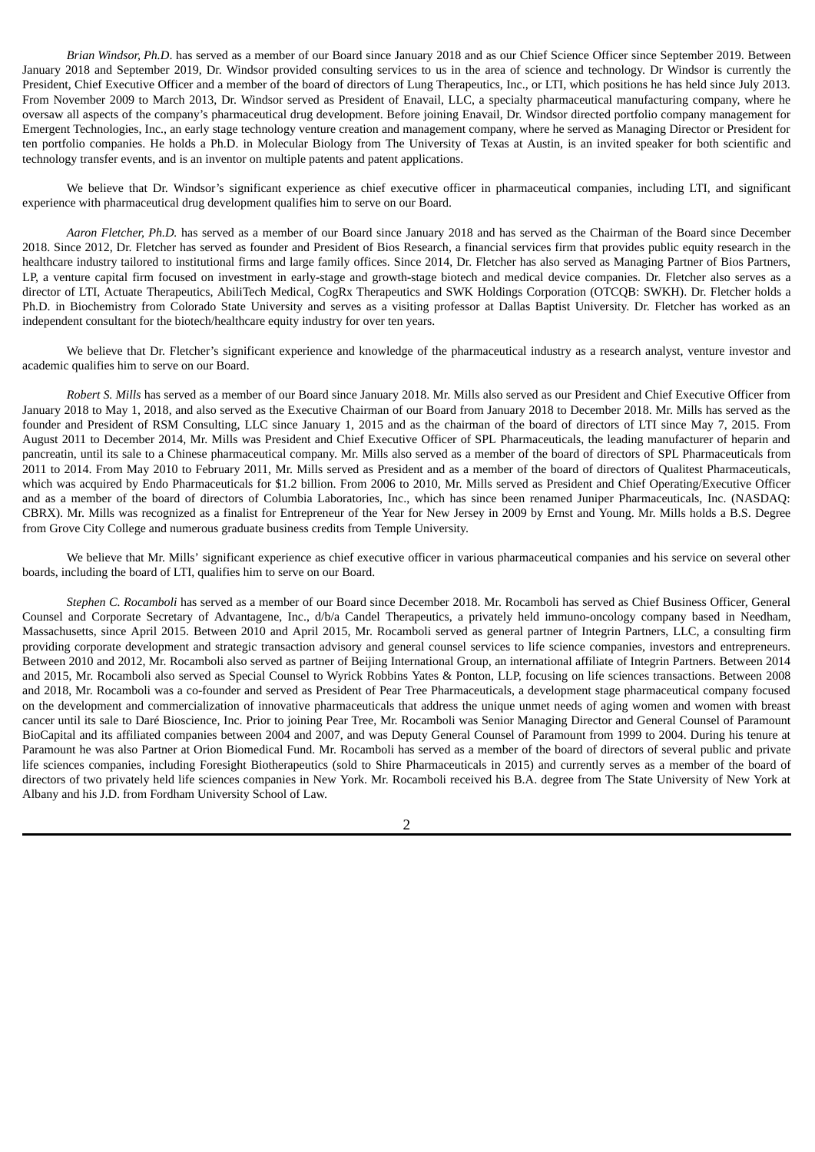*Brian Windsor, Ph.D*. has served as a member of our Board since January 2018 and as our Chief Science Officer since September 2019. Between January 2018 and September 2019, Dr. Windsor provided consulting services to us in the area of science and technology. Dr Windsor is currently the President, Chief Executive Officer and a member of the board of directors of Lung Therapeutics, Inc., or LTI, which positions he has held since July 2013. From November 2009 to March 2013, Dr. Windsor served as President of Enavail, LLC, a specialty pharmaceutical manufacturing company, where he oversaw all aspects of the company's pharmaceutical drug development. Before joining Enavail, Dr. Windsor directed portfolio company management for Emergent Technologies, Inc., an early stage technology venture creation and management company, where he served as Managing Director or President for ten portfolio companies. He holds a Ph.D. in Molecular Biology from The University of Texas at Austin, is an invited speaker for both scientific and technology transfer events, and is an inventor on multiple patents and patent applications.

We believe that Dr. Windsor's significant experience as chief executive officer in pharmaceutical companies, including LTI, and significant experience with pharmaceutical drug development qualifies him to serve on our Board.

*Aaron Fletcher, Ph.D.* has served as a member of our Board since January 2018 and has served as the Chairman of the Board since December 2018. Since 2012, Dr. Fletcher has served as founder and President of Bios Research, a financial services firm that provides public equity research in the healthcare industry tailored to institutional firms and large family offices. Since 2014, Dr. Fletcher has also served as Managing Partner of Bios Partners, LP, a venture capital firm focused on investment in early-stage and growth-stage biotech and medical device companies. Dr. Fletcher also serves as a director of LTI, Actuate Therapeutics, AbiliTech Medical, CogRx Therapeutics and SWK Holdings Corporation (OTCQB: SWKH). Dr. Fletcher holds a Ph.D. in Biochemistry from Colorado State University and serves as a visiting professor at Dallas Baptist University. Dr. Fletcher has worked as an independent consultant for the biotech/healthcare equity industry for over ten years.

We believe that Dr. Fletcher's significant experience and knowledge of the pharmaceutical industry as a research analyst, venture investor and academic qualifies him to serve on our Board.

*Robert S. Mills* has served as a member of our Board since January 2018. Mr. Mills also served as our President and Chief Executive Officer from January 2018 to May 1, 2018, and also served as the Executive Chairman of our Board from January 2018 to December 2018. Mr. Mills has served as the founder and President of RSM Consulting, LLC since January 1, 2015 and as the chairman of the board of directors of LTI since May 7, 2015. From August 2011 to December 2014, Mr. Mills was President and Chief Executive Officer of SPL Pharmaceuticals, the leading manufacturer of heparin and pancreatin, until its sale to a Chinese pharmaceutical company. Mr. Mills also served as a member of the board of directors of SPL Pharmaceuticals from 2011 to 2014. From May 2010 to February 2011, Mr. Mills served as President and as a member of the board of directors of Qualitest Pharmaceuticals, which was acquired by Endo Pharmaceuticals for \$1.2 billion. From 2006 to 2010, Mr. Mills served as President and Chief Operating/Executive Officer and as a member of the board of directors of Columbia Laboratories, Inc., which has since been renamed Juniper Pharmaceuticals, Inc. (NASDAQ: CBRX). Mr. Mills was recognized as a finalist for Entrepreneur of the Year for New Jersey in 2009 by Ernst and Young. Mr. Mills holds a B.S. Degree from Grove City College and numerous graduate business credits from Temple University.

We believe that Mr. Mills' significant experience as chief executive officer in various pharmaceutical companies and his service on several other boards, including the board of LTI, qualifies him to serve on our Board.

*Stephen C. Rocamboli* has served as a member of our Board since December 2018. Mr. Rocamboli has served as Chief Business Officer, General Counsel and Corporate Secretary of Advantagene, Inc., d/b/a Candel Therapeutics, a privately held immuno-oncology company based in Needham, Massachusetts, since April 2015. Between 2010 and April 2015, Mr. Rocamboli served as general partner of Integrin Partners, LLC, a consulting firm providing corporate development and strategic transaction advisory and general counsel services to life science companies, investors and entrepreneurs. Between 2010 and 2012, Mr. Rocamboli also served as partner of Beijing International Group, an international affiliate of Integrin Partners. Between 2014 and 2015, Mr. Rocamboli also served as Special Counsel to Wyrick Robbins Yates & Ponton, LLP, focusing on life sciences transactions. Between 2008 and 2018, Mr. Rocamboli was a co-founder and served as President of Pear Tree Pharmaceuticals, a development stage pharmaceutical company focused on the development and commercialization of innovative pharmaceuticals that address the unique unmet needs of aging women and women with breast cancer until its sale to Daré Bioscience, Inc. Prior to joining Pear Tree, Mr. Rocamboli was Senior Managing Director and General Counsel of Paramount BioCapital and its affiliated companies between 2004 and 2007, and was Deputy General Counsel of Paramount from 1999 to 2004. During his tenure at Paramount he was also Partner at Orion Biomedical Fund. Mr. Rocamboli has served as a member of the board of directors of several public and private life sciences companies, including Foresight Biotherapeutics (sold to Shire Pharmaceuticals in 2015) and currently serves as a member of the board of directors of two privately held life sciences companies in New York. Mr. Rocamboli received his B.A. degree from The State University of New York at Albany and his J.D. from Fordham University School of Law.

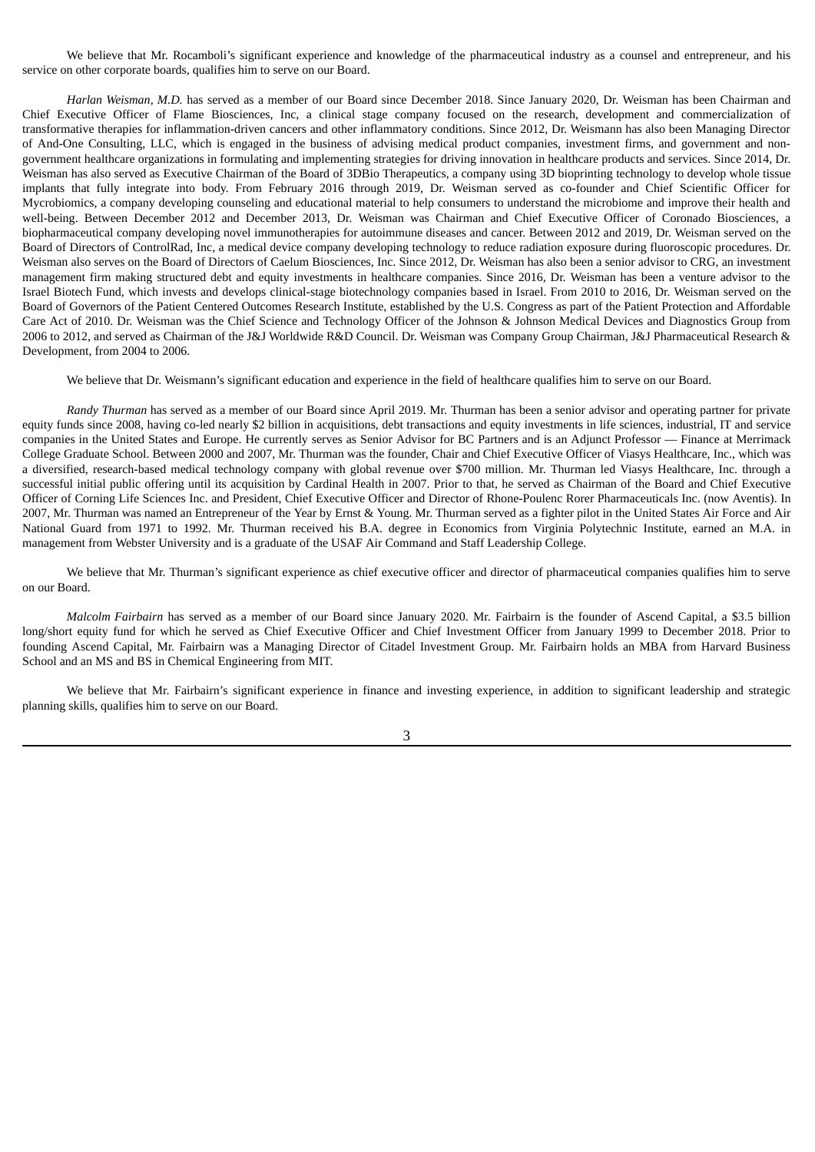We believe that Mr. Rocamboli's significant experience and knowledge of the pharmaceutical industry as a counsel and entrepreneur, and his service on other corporate boards, qualifies him to serve on our Board.

*Harlan Weisman, M.D.* has served as a member of our Board since December 2018. Since January 2020, Dr. Weisman has been Chairman and Chief Executive Officer of Flame Biosciences, Inc, a clinical stage company focused on the research, development and commercialization of transformative therapies for inflammation-driven cancers and other inflammatory conditions. Since 2012, Dr. Weismann has also been Managing Director of And-One Consulting, LLC, which is engaged in the business of advising medical product companies, investment firms, and government and nongovernment healthcare organizations in formulating and implementing strategies for driving innovation in healthcare products and services. Since 2014, Dr. Weisman has also served as Executive Chairman of the Board of 3DBio Therapeutics, a company using 3D bioprinting technology to develop whole tissue implants that fully integrate into body. From February 2016 through 2019, Dr. Weisman served as co-founder and Chief Scientific Officer for Mycrobiomics, a company developing counseling and educational material to help consumers to understand the microbiome and improve their health and well-being. Between December 2012 and December 2013, Dr. Weisman was Chairman and Chief Executive Officer of Coronado Biosciences, a biopharmaceutical company developing novel immunotherapies for autoimmune diseases and cancer. Between 2012 and 2019, Dr. Weisman served on the Board of Directors of ControlRad, Inc, a medical device company developing technology to reduce radiation exposure during fluoroscopic procedures. Dr. Weisman also serves on the Board of Directors of Caelum Biosciences, Inc. Since 2012, Dr. Weisman has also been a senior advisor to CRG, an investment management firm making structured debt and equity investments in healthcare companies. Since 2016, Dr. Weisman has been a venture advisor to the Israel Biotech Fund, which invests and develops clinical-stage biotechnology companies based in Israel. From 2010 to 2016, Dr. Weisman served on the Board of Governors of the Patient Centered Outcomes Research Institute, established by the U.S. Congress as part of the Patient Protection and Affordable Care Act of 2010. Dr. Weisman was the Chief Science and Technology Officer of the Johnson & Johnson Medical Devices and Diagnostics Group from 2006 to 2012, and served as Chairman of the J&J Worldwide R&D Council. Dr. Weisman was Company Group Chairman, J&J Pharmaceutical Research & Development, from 2004 to 2006.

We believe that Dr. Weismann's significant education and experience in the field of healthcare qualifies him to serve on our Board.

*Randy Thurman* has served as a member of our Board since April 2019. Mr. Thurman has been a senior advisor and operating partner for private equity funds since 2008, having co-led nearly \$2 billion in acquisitions, debt transactions and equity investments in life sciences, industrial, IT and service companies in the United States and Europe. He currently serves as Senior Advisor for BC Partners and is an Adjunct Professor — Finance at Merrimack College Graduate School. Between 2000 and 2007, Mr. Thurman was the founder, Chair and Chief Executive Officer of Viasys Healthcare, Inc., which was a diversified, research-based medical technology company with global revenue over \$700 million. Mr. Thurman led Viasys Healthcare, Inc. through a successful initial public offering until its acquisition by Cardinal Health in 2007. Prior to that, he served as Chairman of the Board and Chief Executive Officer of Corning Life Sciences Inc. and President, Chief Executive Officer and Director of Rhone-Poulenc Rorer Pharmaceuticals Inc. (now Aventis). In 2007, Mr. Thurman was named an Entrepreneur of the Year by Ernst & Young. Mr. Thurman served as a fighter pilot in the United States Air Force and Air National Guard from 1971 to 1992. Mr. Thurman received his B.A. degree in Economics from Virginia Polytechnic Institute, earned an M.A. in management from Webster University and is a graduate of the USAF Air Command and Staff Leadership College.

We believe that Mr. Thurman's significant experience as chief executive officer and director of pharmaceutical companies qualifies him to serve on our Board.

*Malcolm Fairbairn* has served as a member of our Board since January 2020. Mr. Fairbairn is the founder of Ascend Capital, a \$3.5 billion long/short equity fund for which he served as Chief Executive Officer and Chief Investment Officer from January 1999 to December 2018. Prior to founding Ascend Capital, Mr. Fairbairn was a Managing Director of Citadel Investment Group. Mr. Fairbairn holds an MBA from Harvard Business School and an MS and BS in Chemical Engineering from MIT.

We believe that Mr. Fairbairn's significant experience in finance and investing experience, in addition to significant leadership and strategic planning skills, qualifies him to serve on our Board.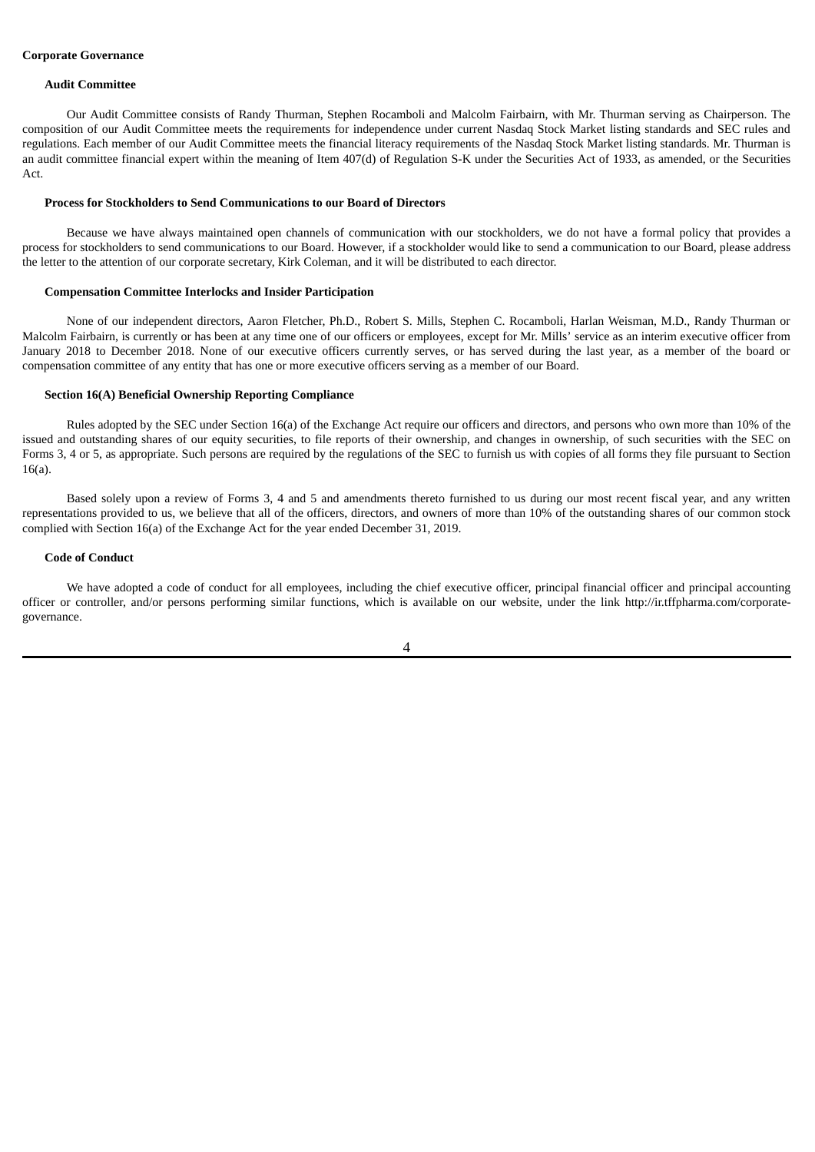#### **Corporate Governance**

#### **Audit Committee**

Our Audit Committee consists of Randy Thurman, Stephen Rocamboli and Malcolm Fairbairn, with Mr. Thurman serving as Chairperson. The composition of our Audit Committee meets the requirements for independence under current Nasdaq Stock Market listing standards and SEC rules and regulations. Each member of our Audit Committee meets the financial literacy requirements of the Nasdaq Stock Market listing standards. Mr. Thurman is an audit committee financial expert within the meaning of Item 407(d) of Regulation S-K under the Securities Act of 1933, as amended, or the Securities Act.

#### **Process for Stockholders to Send Communications to our Board of Directors**

Because we have always maintained open channels of communication with our stockholders, we do not have a formal policy that provides a process for stockholders to send communications to our Board. However, if a stockholder would like to send a communication to our Board, please address the letter to the attention of our corporate secretary, Kirk Coleman, and it will be distributed to each director.

#### **Compensation Committee Interlocks and Insider Participation**

None of our independent directors, Aaron Fletcher, Ph.D., Robert S. Mills, Stephen C. Rocamboli, Harlan Weisman, M.D., Randy Thurman or Malcolm Fairbairn, is currently or has been at any time one of our officers or employees, except for Mr. Mills' service as an interim executive officer from January 2018 to December 2018. None of our executive officers currently serves, or has served during the last year, as a member of the board or compensation committee of any entity that has one or more executive officers serving as a member of our Board.

#### **Section 16(A) Beneficial Ownership Reporting Compliance**

Rules adopted by the SEC under Section 16(a) of the Exchange Act require our officers and directors, and persons who own more than 10% of the issued and outstanding shares of our equity securities, to file reports of their ownership, and changes in ownership, of such securities with the SEC on Forms 3, 4 or 5, as appropriate. Such persons are required by the regulations of the SEC to furnish us with copies of all forms they file pursuant to Section 16(a).

Based solely upon a review of Forms 3, 4 and 5 and amendments thereto furnished to us during our most recent fiscal year, and any written representations provided to us, we believe that all of the officers, directors, and owners of more than 10% of the outstanding shares of our common stock complied with Section 16(a) of the Exchange Act for the year ended December 31, 2019.

#### **Code of Conduct**

We have adopted a code of conduct for all employees, including the chief executive officer, principal financial officer and principal accounting officer or controller, and/or persons performing similar functions, which is available on our website, under the link http://ir.tffpharma.com/corporategovernance.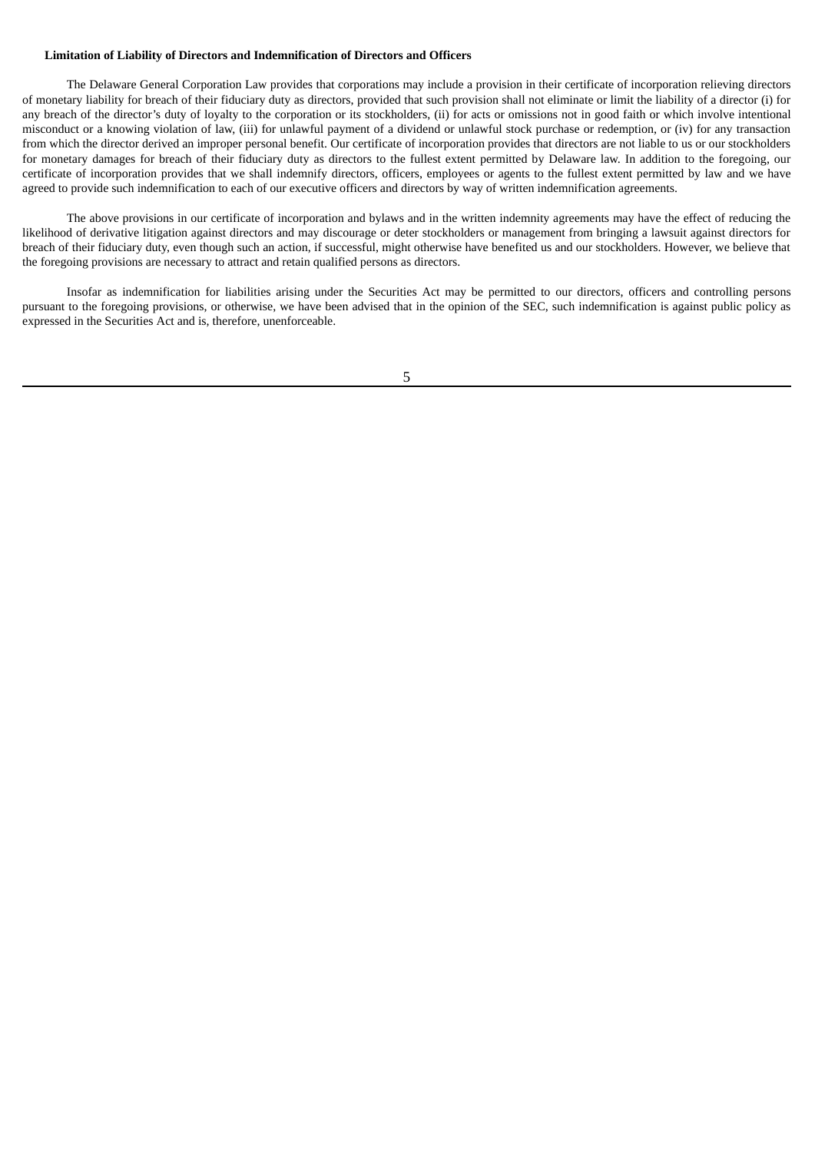### **Limitation of Liability of Directors and Indemnification of Directors and Officers**

The Delaware General Corporation Law provides that corporations may include a provision in their certificate of incorporation relieving directors of monetary liability for breach of their fiduciary duty as directors, provided that such provision shall not eliminate or limit the liability of a director (i) for any breach of the director's duty of loyalty to the corporation or its stockholders, (ii) for acts or omissions not in good faith or which involve intentional misconduct or a knowing violation of law, (iii) for unlawful payment of a dividend or unlawful stock purchase or redemption, or (iv) for any transaction from which the director derived an improper personal benefit. Our certificate of incorporation provides that directors are not liable to us or our stockholders for monetary damages for breach of their fiduciary duty as directors to the fullest extent permitted by Delaware law. In addition to the foregoing, our certificate of incorporation provides that we shall indemnify directors, officers, employees or agents to the fullest extent permitted by law and we have agreed to provide such indemnification to each of our executive officers and directors by way of written indemnification agreements.

The above provisions in our certificate of incorporation and bylaws and in the written indemnity agreements may have the effect of reducing the likelihood of derivative litigation against directors and may discourage or deter stockholders or management from bringing a lawsuit against directors for breach of their fiduciary duty, even though such an action, if successful, might otherwise have benefited us and our stockholders. However, we believe that the foregoing provisions are necessary to attract and retain qualified persons as directors.

Insofar as indemnification for liabilities arising under the Securities Act may be permitted to our directors, officers and controlling persons pursuant to the foregoing provisions, or otherwise, we have been advised that in the opinion of the SEC, such indemnification is against public policy as expressed in the Securities Act and is, therefore, unenforceable.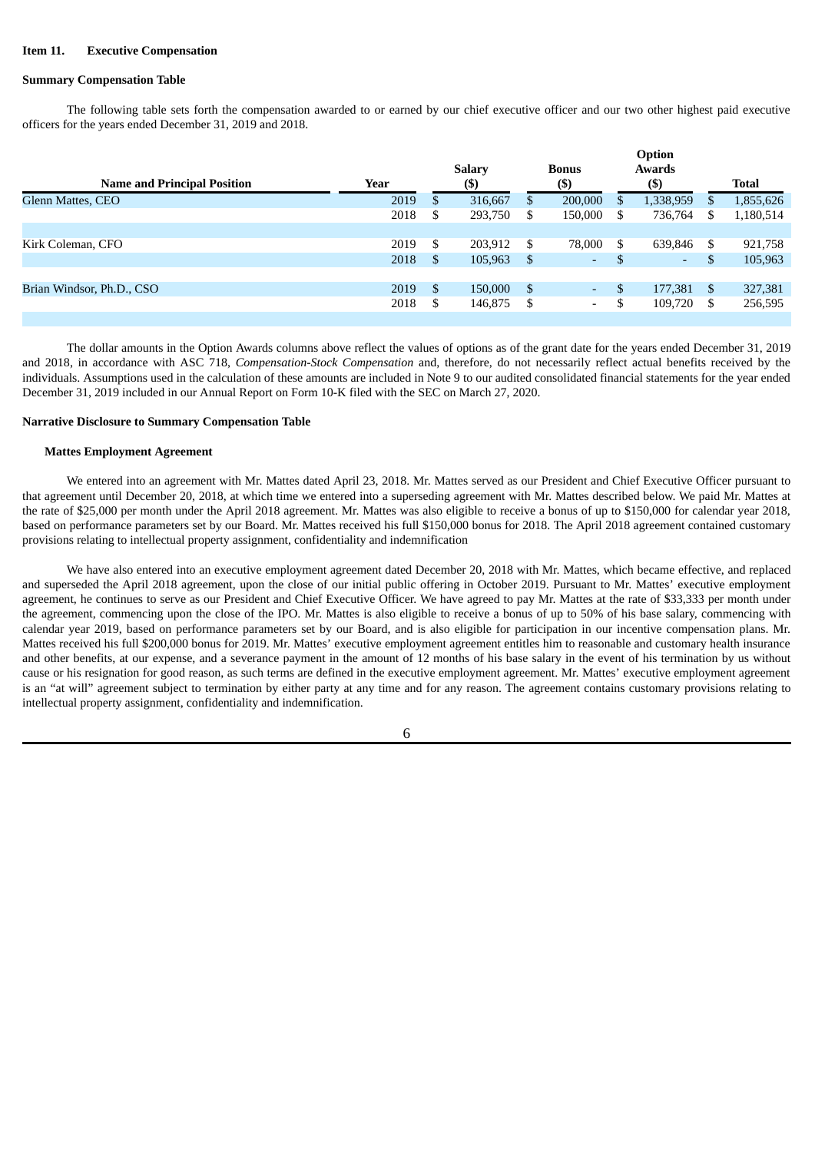### <span id="page-8-0"></span>**Item 11. Executive Compensation**

### **Summary Compensation Table**

The following table sets forth the compensation awarded to or earned by our chief executive officer and our two other highest paid executive officers for the years ended December 31, 2019 and 2018.

|                                    |      |    | <b>Salary</b> |               | <b>Bonus</b> |    | Option<br>Awards |     |              |
|------------------------------------|------|----|---------------|---------------|--------------|----|------------------|-----|--------------|
| <b>Name and Principal Position</b> | Year |    | $($ \$)       |               | $($ \$       |    | $($ \$)          |     | <b>Total</b> |
| <b>Glenn Mattes, CEO</b>           | 2019 | S  | 316,667       | S             | 200,000      | S  | 1,338,959        | S   | 1,855,626    |
|                                    | 2018 | S  | 293,750       | S             | 150,000      | S. | 736,764          | \$  | 1,180,514    |
|                                    |      |    |               |               |              |    |                  |     |              |
| Kirk Coleman, CFO                  | 2019 | \$ | 203,912       | S             | 78,000       | \$ | 639,846          | S   | 921,758      |
|                                    | 2018 | S  | 105,963       | \$.           | $\sim$       | \$ | ٠                | \$  | 105,963      |
|                                    |      |    |               |               |              |    |                  |     |              |
| Brian Windsor, Ph.D., CSO          | 2019 | \$ | 150,000       | <sup>\$</sup> | $\sim$       | \$ | 177,381          | \$. | 327,381      |
|                                    | 2018 | \$ | 146,875       | \$            | $\sim$       | \$ | 109,720          | \$  | 256,595      |
|                                    |      |    |               |               |              |    |                  |     |              |

The dollar amounts in the Option Awards columns above reflect the values of options as of the grant date for the years ended December 31, 2019 and 2018, in accordance with ASC 718, *Compensation-Stock Compensation* and, therefore, do not necessarily reflect actual benefits received by the individuals. Assumptions used in the calculation of these amounts are included in Note 9 to our audited consolidated financial statements for the year ended December 31, 2019 included in our Annual Report on Form 10-K filed with the SEC on March 27, 2020.

#### **Narrative Disclosure to Summary Compensation Table**

#### **Mattes Employment Agreement**

We entered into an agreement with Mr. Mattes dated April 23, 2018. Mr. Mattes served as our President and Chief Executive Officer pursuant to that agreement until December 20, 2018, at which time we entered into a superseding agreement with Mr. Mattes described below. We paid Mr. Mattes at the rate of \$25,000 per month under the April 2018 agreement. Mr. Mattes was also eligible to receive a bonus of up to \$150,000 for calendar year 2018, based on performance parameters set by our Board. Mr. Mattes received his full \$150,000 bonus for 2018. The April 2018 agreement contained customary provisions relating to intellectual property assignment, confidentiality and indemnification

We have also entered into an executive employment agreement dated December 20, 2018 with Mr. Mattes, which became effective, and replaced and superseded the April 2018 agreement, upon the close of our initial public offering in October 2019. Pursuant to Mr. Mattes' executive employment agreement, he continues to serve as our President and Chief Executive Officer. We have agreed to pay Mr. Mattes at the rate of \$33,333 per month under the agreement, commencing upon the close of the IPO. Mr. Mattes is also eligible to receive a bonus of up to 50% of his base salary, commencing with calendar year 2019, based on performance parameters set by our Board, and is also eligible for participation in our incentive compensation plans. Mr. Mattes received his full \$200,000 bonus for 2019. Mr. Mattes' executive employment agreement entitles him to reasonable and customary health insurance and other benefits, at our expense, and a severance payment in the amount of 12 months of his base salary in the event of his termination by us without cause or his resignation for good reason, as such terms are defined in the executive employment agreement. Mr. Mattes' executive employment agreement is an "at will" agreement subject to termination by either party at any time and for any reason. The agreement contains customary provisions relating to intellectual property assignment, confidentiality and indemnification.

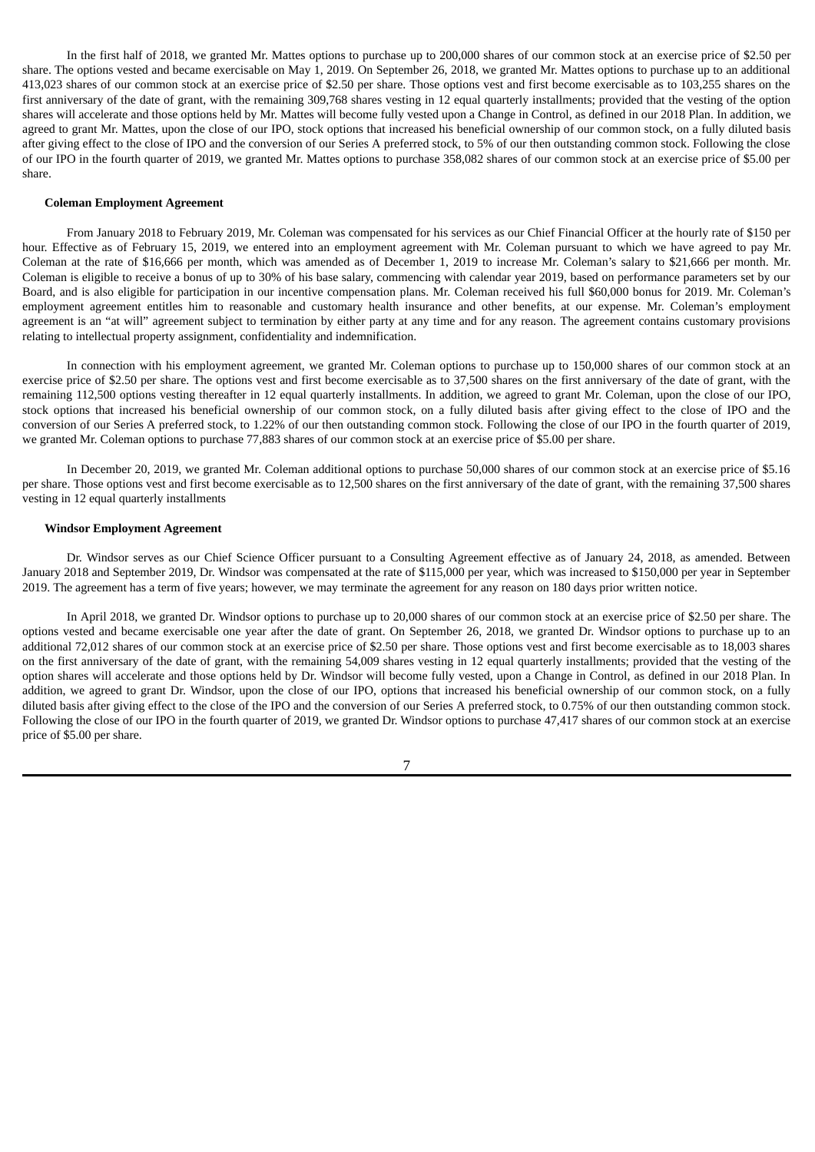In the first half of 2018, we granted Mr. Mattes options to purchase up to 200,000 shares of our common stock at an exercise price of \$2.50 per share. The options vested and became exercisable on May 1, 2019. On September 26, 2018, we granted Mr. Mattes options to purchase up to an additional 413,023 shares of our common stock at an exercise price of \$2.50 per share. Those options vest and first become exercisable as to 103,255 shares on the first anniversary of the date of grant, with the remaining 309,768 shares vesting in 12 equal quarterly installments; provided that the vesting of the option shares will accelerate and those options held by Mr. Mattes will become fully vested upon a Change in Control, as defined in our 2018 Plan. In addition, we agreed to grant Mr. Mattes, upon the close of our IPO, stock options that increased his beneficial ownership of our common stock, on a fully diluted basis after giving effect to the close of IPO and the conversion of our Series A preferred stock, to 5% of our then outstanding common stock. Following the close of our IPO in the fourth quarter of 2019, we granted Mr. Mattes options to purchase 358,082 shares of our common stock at an exercise price of \$5.00 per share.

#### **Coleman Employment Agreement**

From January 2018 to February 2019, Mr. Coleman was compensated for his services as our Chief Financial Officer at the hourly rate of \$150 per hour. Effective as of February 15, 2019, we entered into an employment agreement with Mr. Coleman pursuant to which we have agreed to pay Mr. Coleman at the rate of \$16,666 per month, which was amended as of December 1, 2019 to increase Mr. Coleman's salary to \$21,666 per month. Mr. Coleman is eligible to receive a bonus of up to 30% of his base salary, commencing with calendar year 2019, based on performance parameters set by our Board, and is also eligible for participation in our incentive compensation plans. Mr. Coleman received his full \$60,000 bonus for 2019. Mr. Coleman's employment agreement entitles him to reasonable and customary health insurance and other benefits, at our expense. Mr. Coleman's employment agreement is an "at will" agreement subject to termination by either party at any time and for any reason. The agreement contains customary provisions relating to intellectual property assignment, confidentiality and indemnification.

In connection with his employment agreement, we granted Mr. Coleman options to purchase up to 150,000 shares of our common stock at an exercise price of \$2.50 per share. The options vest and first become exercisable as to 37,500 shares on the first anniversary of the date of grant, with the remaining 112,500 options vesting thereafter in 12 equal quarterly installments. In addition, we agreed to grant Mr. Coleman, upon the close of our IPO, stock options that increased his beneficial ownership of our common stock, on a fully diluted basis after giving effect to the close of IPO and the conversion of our Series A preferred stock, to 1.22% of our then outstanding common stock. Following the close of our IPO in the fourth quarter of 2019, we granted Mr. Coleman options to purchase 77,883 shares of our common stock at an exercise price of \$5.00 per share.

In December 20, 2019, we granted Mr. Coleman additional options to purchase 50,000 shares of our common stock at an exercise price of \$5.16 per share. Those options vest and first become exercisable as to 12,500 shares on the first anniversary of the date of grant, with the remaining 37,500 shares vesting in 12 equal quarterly installments

#### **Windsor Employment Agreement**

Dr. Windsor serves as our Chief Science Officer pursuant to a Consulting Agreement effective as of January 24, 2018, as amended. Between January 2018 and September 2019, Dr. Windsor was compensated at the rate of \$115,000 per year, which was increased to \$150,000 per year in September 2019. The agreement has a term of five years; however, we may terminate the agreement for any reason on 180 days prior written notice.

In April 2018, we granted Dr. Windsor options to purchase up to 20,000 shares of our common stock at an exercise price of \$2.50 per share. The options vested and became exercisable one year after the date of grant. On September 26, 2018, we granted Dr. Windsor options to purchase up to an additional 72,012 shares of our common stock at an exercise price of \$2.50 per share. Those options vest and first become exercisable as to 18,003 shares on the first anniversary of the date of grant, with the remaining 54,009 shares vesting in 12 equal quarterly installments; provided that the vesting of the option shares will accelerate and those options held by Dr. Windsor will become fully vested, upon a Change in Control, as defined in our 2018 Plan. In addition, we agreed to grant Dr. Windsor, upon the close of our IPO, options that increased his beneficial ownership of our common stock, on a fully diluted basis after giving effect to the close of the IPO and the conversion of our Series A preferred stock, to 0.75% of our then outstanding common stock. Following the close of our IPO in the fourth quarter of 2019, we granted Dr. Windsor options to purchase 47,417 shares of our common stock at an exercise price of \$5.00 per share.

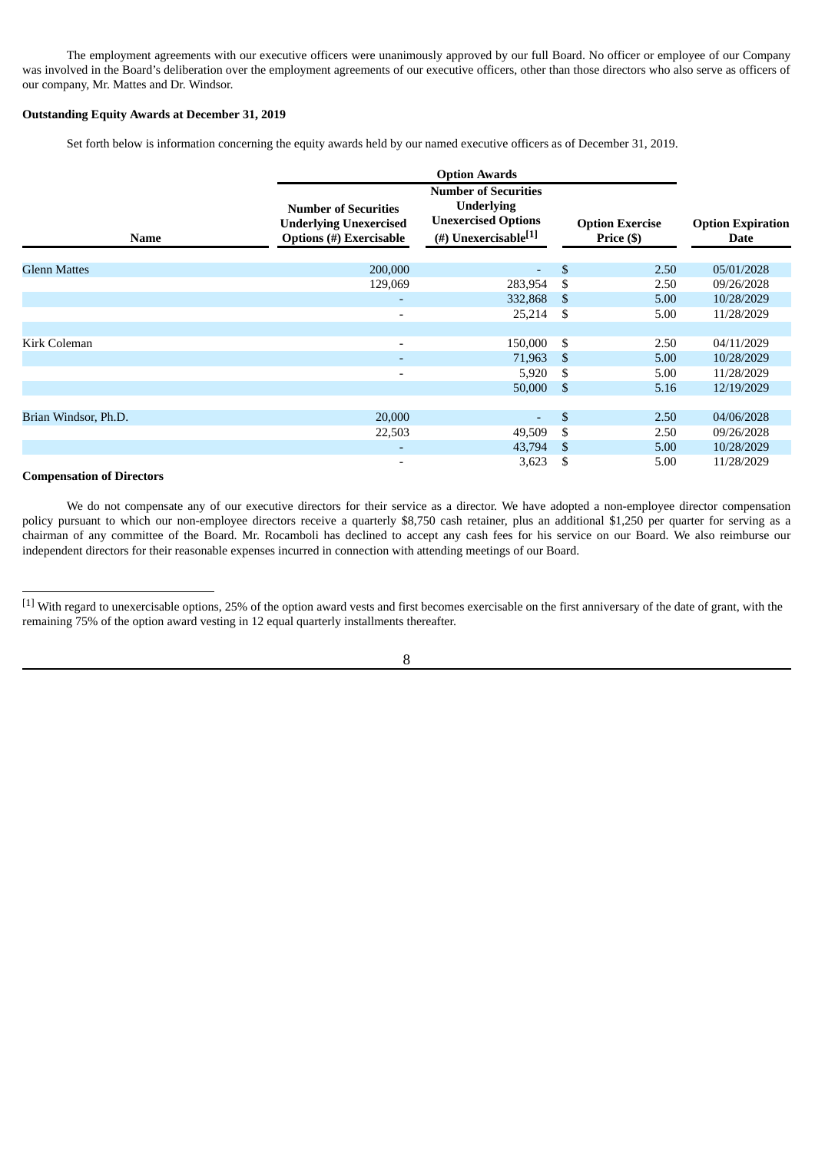The employment agreements with our executive officers were unanimously approved by our full Board. No officer or employee of our Company was involved in the Board's deliberation over the employment agreements of our executive officers, other than those directors who also serve as officers of our company, Mr. Mattes and Dr. Windsor.

### **Outstanding Equity Awards at December 31, 2019**

Set forth below is information concerning the equity awards held by our named executive officers as of December 31, 2019.

| <b>Name</b>          | <b>Number of Securities</b><br><b>Underlying Unexercised</b><br><b>Options</b> (#) Exercisable | <b>Number of Securities</b><br><b>Underlying</b><br><b>Unexercised Options</b><br>(#) Unexercisable <sup>[1]</sup> |                | <b>Option Exercise</b><br>Price (\$) | <b>Option Expiration</b><br><b>Date</b> |
|----------------------|------------------------------------------------------------------------------------------------|--------------------------------------------------------------------------------------------------------------------|----------------|--------------------------------------|-----------------------------------------|
| <b>Glenn Mattes</b>  | 200,000                                                                                        | $\overline{a}$                                                                                                     | $\mathfrak{S}$ | 2.50                                 | 05/01/2028                              |
|                      | 129,069                                                                                        | 283,954                                                                                                            | \$             | 2.50                                 | 09/26/2028                              |
|                      | $\overline{\phantom{a}}$                                                                       | 332,868                                                                                                            | - \$           | 5.00                                 | 10/28/2029                              |
|                      | $\overline{\phantom{a}}$                                                                       | 25,214                                                                                                             | \$             | 5.00                                 | 11/28/2029                              |
|                      |                                                                                                |                                                                                                                    |                |                                      |                                         |
| Kirk Coleman         | $\overline{\phantom{0}}$                                                                       | 150,000                                                                                                            | \$             | 2.50                                 | 04/11/2029                              |
|                      |                                                                                                | 71,963                                                                                                             | -S             | 5.00                                 | 10/28/2029                              |
|                      |                                                                                                | 5,920                                                                                                              | - \$           | 5.00                                 | 11/28/2029                              |
|                      |                                                                                                | 50,000                                                                                                             | \$             | 5.16                                 | 12/19/2029                              |
|                      |                                                                                                |                                                                                                                    |                |                                      |                                         |
| Brian Windsor, Ph.D. | 20,000                                                                                         | $\overline{\phantom{0}}$                                                                                           | \$             | 2.50                                 | 04/06/2028                              |
|                      | 22,503                                                                                         | 49,509                                                                                                             | \$             | 2.50                                 | 09/26/2028                              |
|                      |                                                                                                | 43,794                                                                                                             | -S             | 5.00                                 | 10/28/2029                              |
|                      | $\overline{\phantom{a}}$                                                                       | 3,623                                                                                                              | \$             | 5.00                                 | 11/28/2029                              |

## **Compensation of Directors**

We do not compensate any of our executive directors for their service as a director. We have adopted a non-employee director compensation policy pursuant to which our non-employee directors receive a quarterly \$8,750 cash retainer, plus an additional \$1,250 per quarter for serving as a chairman of any committee of the Board. Mr. Rocamboli has declined to accept any cash fees for his service on our Board. We also reimburse our independent directors for their reasonable expenses incurred in connection with attending meetings of our Board.

<sup>[1]</sup> With regard to unexercisable options, 25% of the option award vests and first becomes exercisable on the first anniversary of the date of grant, with the remaining 75% of the option award vesting in 12 equal quarterly installments thereafter.

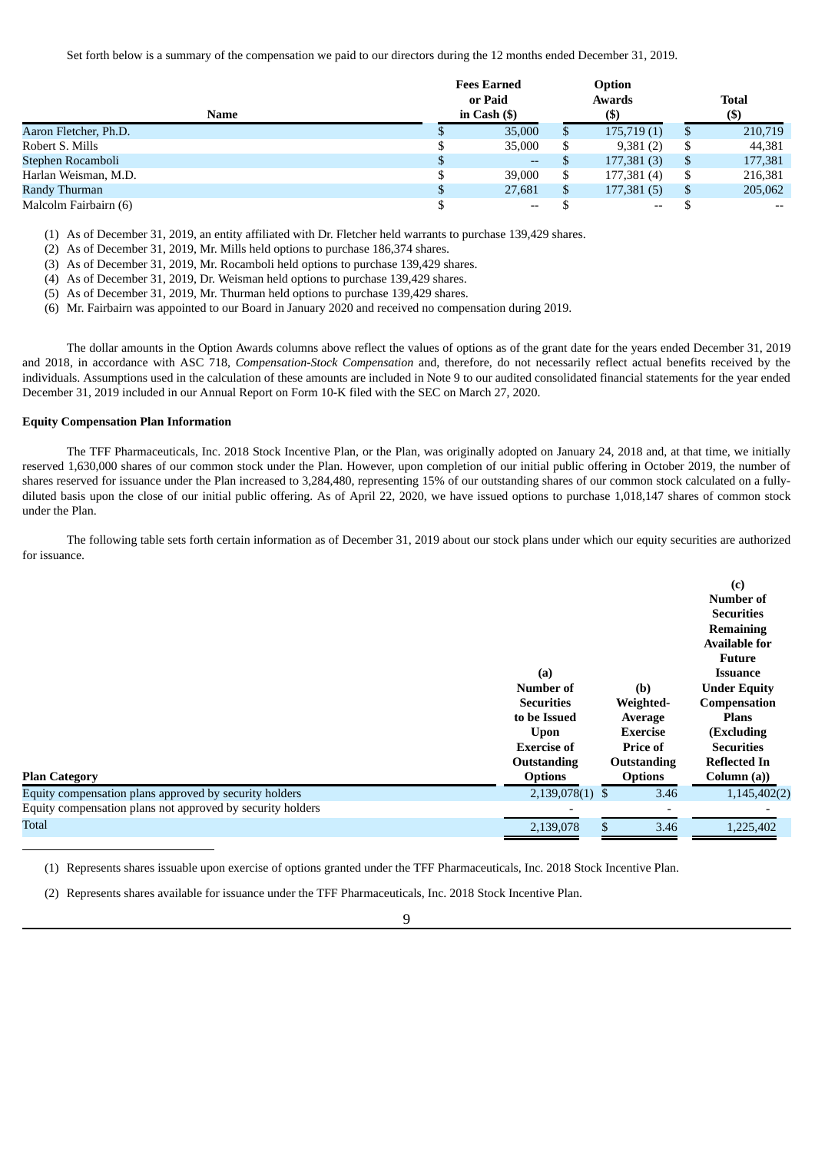Set forth below is a summary of the compensation we paid to our directors during the 12 months ended December 31, 2019.

| Name                  | <b>Fees Earned</b><br>or Paid<br>in Cash $($ ) |   | Option<br>Awards<br>(\$) |    | <b>Total</b><br>$($ \$                |
|-----------------------|------------------------------------------------|---|--------------------------|----|---------------------------------------|
| Aaron Fletcher, Ph.D. | 35,000                                         | ъ | 175,719(1)               | D  | 210,719                               |
| Robert S. Mills       | 35,000                                         |   | 9,381(2)                 |    | 44,381                                |
| Stephen Rocamboli     | $--$                                           |   | 177,381(3)               |    | 177,381                               |
| Harlan Weisman, M.D.  | 39,000                                         | S | 177,381 (4)              | \$ | 216,381                               |
| Randy Thurman         | 27,681                                         | S | 177,381 (5)              | \$ | 205,062                               |
| Malcolm Fairbairn (6) | --                                             |   | $- -$                    |    | $\hspace{0.05cm}$ – $\hspace{0.05cm}$ |

(1) As of December 31, 2019, an entity affiliated with Dr. Fletcher held warrants to purchase 139,429 shares.

- (2) As of December 31, 2019, Mr. Mills held options to purchase 186,374 shares.
- (3) As of December 31, 2019, Mr. Rocamboli held options to purchase 139,429 shares.
- (4) As of December 31, 2019, Dr. Weisman held options to purchase 139,429 shares.
- (5) As of December 31, 2019, Mr. Thurman held options to purchase 139,429 shares.
- (6) Mr. Fairbairn was appointed to our Board in January 2020 and received no compensation during 2019.

The dollar amounts in the Option Awards columns above reflect the values of options as of the grant date for the years ended December 31, 2019 and 2018, in accordance with ASC 718, *Compensation-Stock Compensation* and, therefore, do not necessarily reflect actual benefits received by the individuals. Assumptions used in the calculation of these amounts are included in Note 9 to our audited consolidated financial statements for the year ended December 31, 2019 included in our Annual Report on Form 10-K filed with the SEC on March 27, 2020.

#### **Equity Compensation Plan Information**

The TFF Pharmaceuticals, Inc. 2018 Stock Incentive Plan, or the Plan, was originally adopted on January 24, 2018 and, at that time, we initially reserved 1,630,000 shares of our common stock under the Plan. However, upon completion of our initial public offering in October 2019, the number of shares reserved for issuance under the Plan increased to 3,284,480, representing 15% of our outstanding shares of our common stock calculated on a fullydiluted basis upon the close of our initial public offering. As of April 22, 2020, we have issued options to purchase 1,018,147 shares of common stock under the Plan.

The following table sets forth certain information as of December 31, 2019 about our stock plans under which our equity securities are authorized for issuance.

|                                                            |                    |                 | (c)<br>Number of<br><b>Securities</b><br><b>Remaining</b><br><b>Available for</b><br><b>Future</b> |
|------------------------------------------------------------|--------------------|-----------------|----------------------------------------------------------------------------------------------------|
|                                                            | (a)                |                 | <b>Issuance</b>                                                                                    |
|                                                            | <b>Number of</b>   | (b)             | <b>Under Equity</b>                                                                                |
|                                                            | <b>Securities</b>  | Weighted-       | Compensation                                                                                       |
|                                                            | to be Issued       | Average         | <b>Plans</b>                                                                                       |
|                                                            | <b>Upon</b>        | <b>Exercise</b> | (Excluding                                                                                         |
|                                                            | <b>Exercise of</b> | <b>Price of</b> | <b>Securities</b>                                                                                  |
|                                                            | <b>Outstanding</b> | Outstanding     | <b>Reflected In</b>                                                                                |
| <b>Plan Category</b>                                       | <b>Options</b>     | <b>Options</b>  | Column (a))                                                                                        |
| Equity compensation plans approved by security holders     | 2,139,078(1) \$    | 3.46            | 1,145,402(2)                                                                                       |
| Equity compensation plans not approved by security holders |                    |                 |                                                                                                    |
| <b>Total</b>                                               | 2,139,078          | 3.46<br>\$      | 1,225,402                                                                                          |

(1) Represents shares issuable upon exercise of options granted under the TFF Pharmaceuticals, Inc. 2018 Stock Incentive Plan.

(2) Represents shares available for issuance under the TFF Pharmaceuticals, Inc. 2018 Stock Incentive Plan.

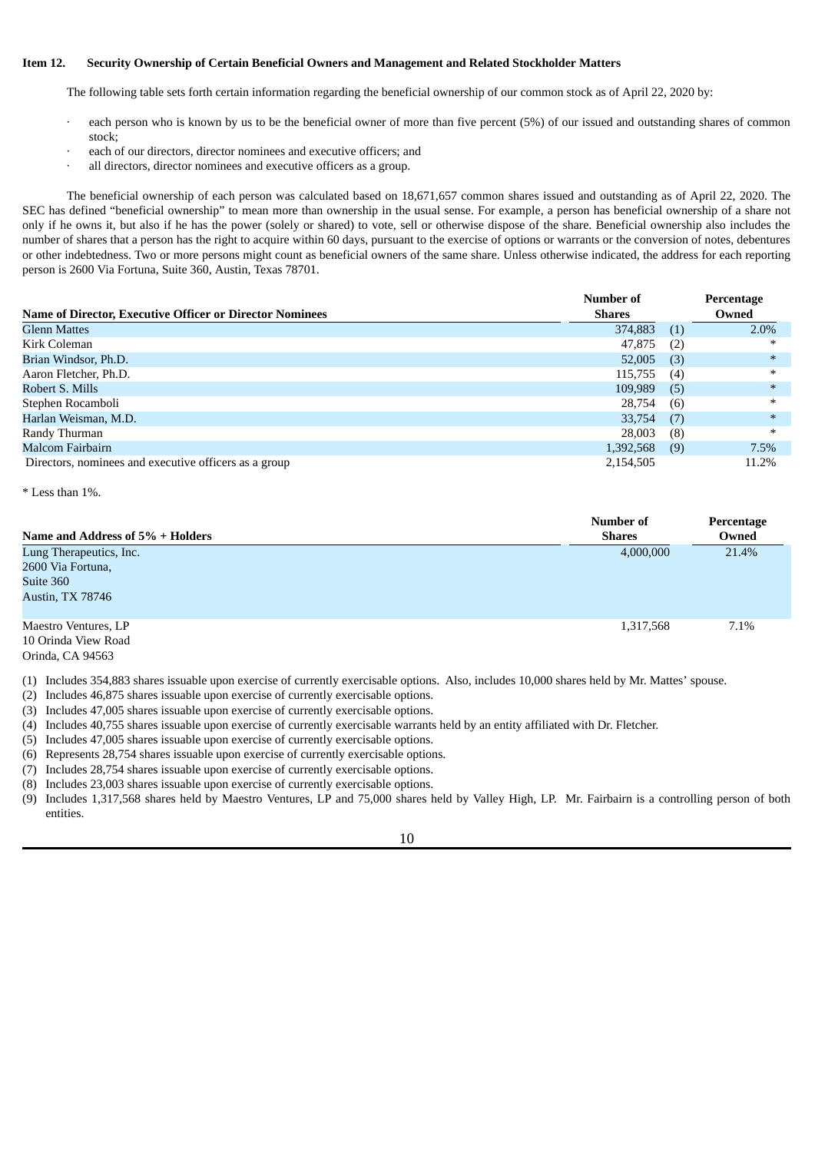### <span id="page-12-0"></span>**Item 12. Security Ownership of Certain Beneficial Owners and Management and Related Stockholder Matters**

The following table sets forth certain information regarding the beneficial ownership of our common stock as of April 22, 2020 by:

- each person who is known by us to be the beneficial owner of more than five percent (5%) of our issued and outstanding shares of common stock;
- each of our directors, director nominees and executive officers; and
- all directors, director nominees and executive officers as a group.

The beneficial ownership of each person was calculated based on 18,671,657 common shares issued and outstanding as of April 22, 2020. The SEC has defined "beneficial ownership" to mean more than ownership in the usual sense. For example, a person has beneficial ownership of a share not only if he owns it, but also if he has the power (solely or shared) to vote, sell or otherwise dispose of the share. Beneficial ownership also includes the number of shares that a person has the right to acquire within 60 days, pursuant to the exercise of options or warrants or the conversion of notes, debentures or other indebtedness. Two or more persons might count as beneficial owners of the same share. Unless otherwise indicated, the address for each reporting person is 2600 Via Fortuna, Suite 360, Austin, Texas 78701.

|                                                                 | Number of |     | Percentage |
|-----------------------------------------------------------------|-----------|-----|------------|
| <b>Name of Director, Executive Officer or Director Nominees</b> | Shares    |     | Owned      |
| <b>Glenn Mattes</b>                                             | 374,883   | (1) | 2.0%       |
| Kirk Coleman                                                    | 47,875    | (2) | ∗          |
| Brian Windsor, Ph.D.                                            | 52,005    | (3) | $\ast$     |
| Aaron Fletcher, Ph.D.                                           | 115,755   | (4) | $\ast$     |
| Robert S. Mills                                                 | 109,989   | (5) | $\ast$     |
| Stephen Rocamboli                                               | 28,754    | (6) | ∗          |
| Harlan Weisman, M.D.                                            | 33,754    | (7) | $\ast$     |
| Randy Thurman                                                   | 28,003    | (8) | ∗          |
| Malcom Fairbairn                                                | 1,392,568 | (9) | 7.5%       |
| Directors, nominees and executive officers as a group           | 2,154,505 |     | 11.2%      |

\* Less than 1%.

| Name and Address of 5% + Holders | Number of<br><b>Shares</b> | Percentage<br>Owned |
|----------------------------------|----------------------------|---------------------|
|                                  |                            |                     |
| Lung Therapeutics, Inc.          | 4,000,000                  | 21.4%               |
| 2600 Via Fortuna,                |                            |                     |
| Suite 360                        |                            |                     |
| <b>Austin, TX 78746</b>          |                            |                     |
| Maestro Ventures, LP             | 1,317,568                  | 7.1%                |
| 10 Orinda View Road              |                            |                     |

10 Orinda View Road Orinda, CA 94563

(1) Includes 354,883 shares issuable upon exercise of currently exercisable options. Also, includes 10,000 shares held by Mr. Mattes' spouse.

(2) Includes 46,875 shares issuable upon exercise of currently exercisable options.

(3) Includes 47,005 shares issuable upon exercise of currently exercisable options.

(4) Includes 40,755 shares issuable upon exercise of currently exercisable warrants held by an entity affiliated with Dr. Fletcher.

(5) Includes 47,005 shares issuable upon exercise of currently exercisable options.

(6) Represents 28,754 shares issuable upon exercise of currently exercisable options.

(7) Includes 28,754 shares issuable upon exercise of currently exercisable options.

(8) Includes 23,003 shares issuable upon exercise of currently exercisable options.

(9) Includes 1,317,568 shares held by Maestro Ventures, LP and 75,000 shares held by Valley High, LP. Mr. Fairbairn is a controlling person of both entities.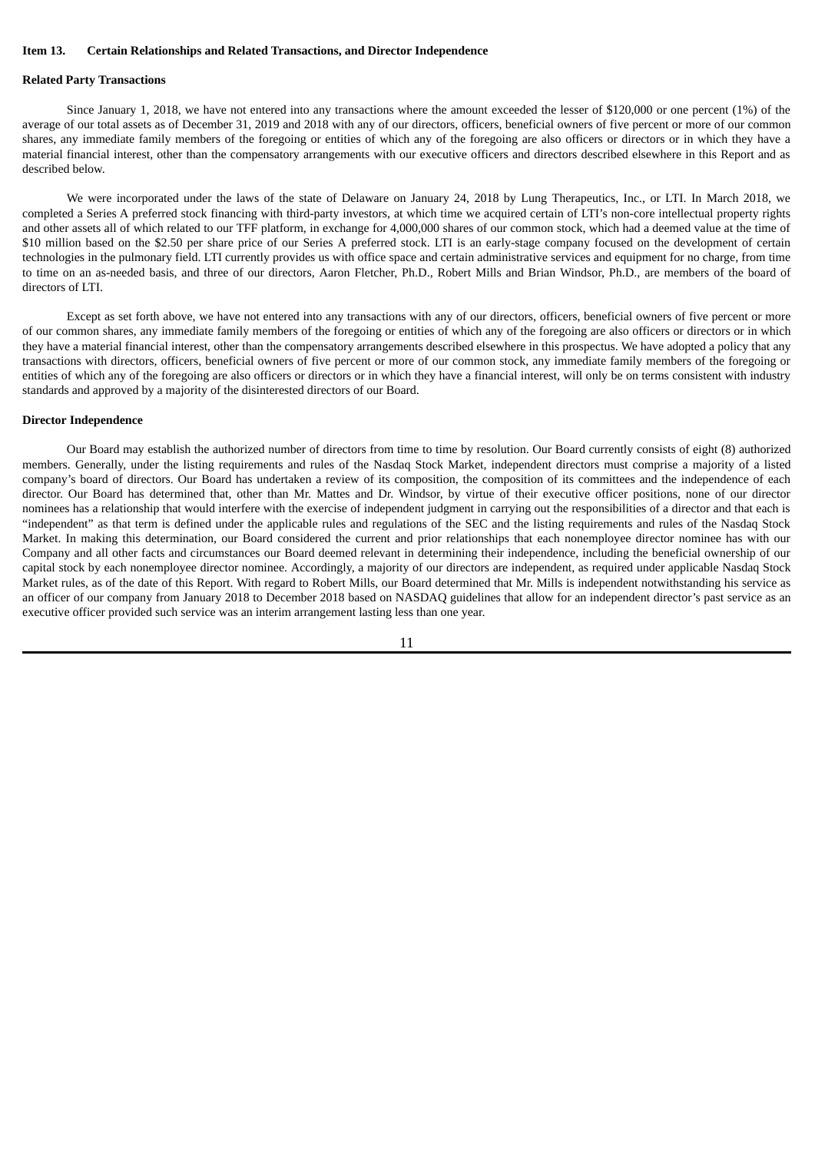#### <span id="page-13-0"></span>**Item 13. Certain Relationships and Related Transactions, and Director Independence**

#### **Related Party Transactions**

Since January 1, 2018, we have not entered into any transactions where the amount exceeded the lesser of \$120,000 or one percent (1%) of the average of our total assets as of December 31, 2019 and 2018 with any of our directors, officers, beneficial owners of five percent or more of our common shares, any immediate family members of the foregoing or entities of which any of the foregoing are also officers or directors or in which they have a material financial interest, other than the compensatory arrangements with our executive officers and directors described elsewhere in this Report and as described below.

We were incorporated under the laws of the state of Delaware on January 24, 2018 by Lung Therapeutics, Inc., or LTI. In March 2018, we completed a Series A preferred stock financing with third-party investors, at which time we acquired certain of LTI's non-core intellectual property rights and other assets all of which related to our TFF platform, in exchange for 4,000,000 shares of our common stock, which had a deemed value at the time of \$10 million based on the \$2.50 per share price of our Series A preferred stock. LTI is an early-stage company focused on the development of certain technologies in the pulmonary field. LTI currently provides us with office space and certain administrative services and equipment for no charge, from time to time on an as-needed basis, and three of our directors, Aaron Fletcher, Ph.D., Robert Mills and Brian Windsor, Ph.D., are members of the board of directors of LTI.

Except as set forth above, we have not entered into any transactions with any of our directors, officers, beneficial owners of five percent or more of our common shares, any immediate family members of the foregoing or entities of which any of the foregoing are also officers or directors or in which they have a material financial interest, other than the compensatory arrangements described elsewhere in this prospectus. We have adopted a policy that any transactions with directors, officers, beneficial owners of five percent or more of our common stock, any immediate family members of the foregoing or entities of which any of the foregoing are also officers or directors or in which they have a financial interest, will only be on terms consistent with industry standards and approved by a majority of the disinterested directors of our Board.

#### **Director Independence**

Our Board may establish the authorized number of directors from time to time by resolution. Our Board currently consists of eight (8) authorized members. Generally, under the listing requirements and rules of the Nasdaq Stock Market, independent directors must comprise a majority of a listed company's board of directors. Our Board has undertaken a review of its composition, the composition of its committees and the independence of each director. Our Board has determined that, other than Mr. Mattes and Dr. Windsor, by virtue of their executive officer positions, none of our director nominees has a relationship that would interfere with the exercise of independent judgment in carrying out the responsibilities of a director and that each is "independent" as that term is defined under the applicable rules and regulations of the SEC and the listing requirements and rules of the Nasdaq Stock Market. In making this determination, our Board considered the current and prior relationships that each nonemployee director nominee has with our Company and all other facts and circumstances our Board deemed relevant in determining their independence, including the beneficial ownership of our capital stock by each nonemployee director nominee. Accordingly, a majority of our directors are independent, as required under applicable Nasdaq Stock Market rules, as of the date of this Report. With regard to Robert Mills, our Board determined that Mr. Mills is independent notwithstanding his service as an officer of our company from January 2018 to December 2018 based on NASDAQ guidelines that allow for an independent director's past service as an executive officer provided such service was an interim arrangement lasting less than one year.

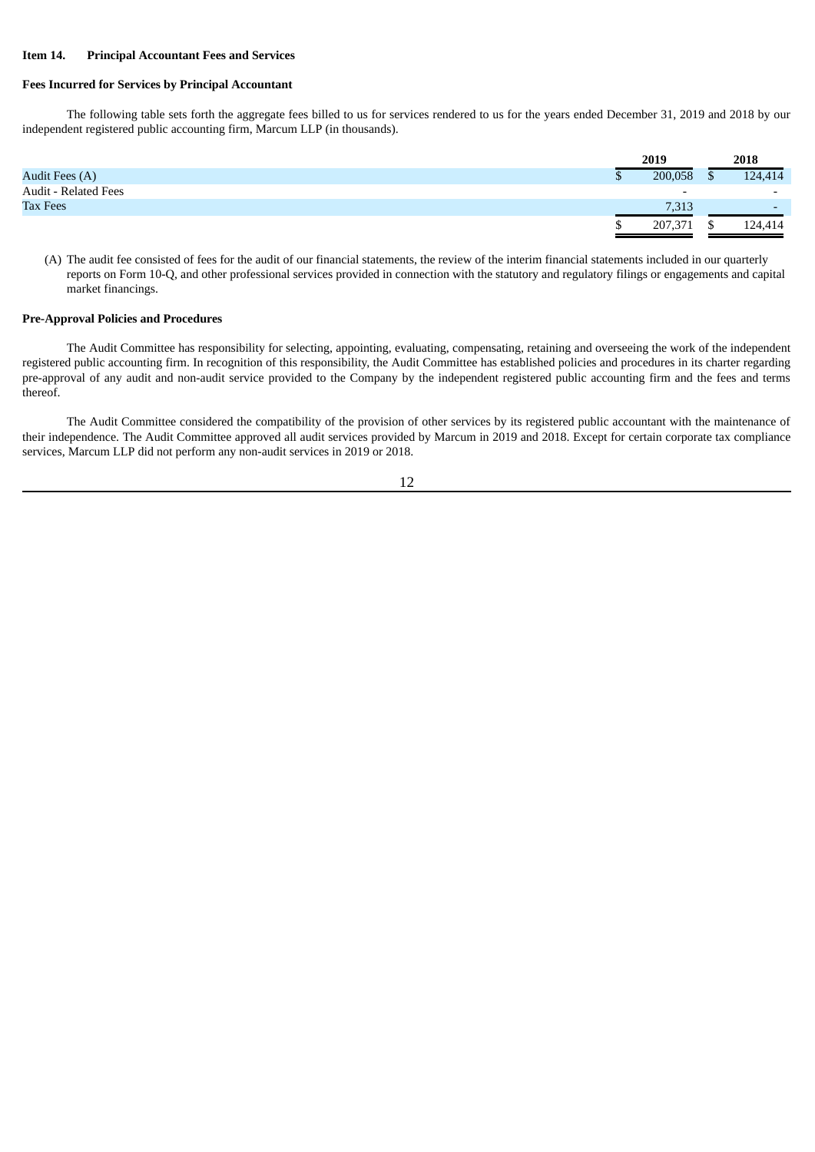### <span id="page-14-0"></span>**Item 14. Principal Accountant Fees and Services**

# **Fees Incurred for Services by Principal Accountant**

The following table sets forth the aggregate fees billed to us for services rendered to us for the years ended December 31, 2019 and 2018 by our independent registered public accounting firm, Marcum LLP (in thousands).

|                             |   | 2019                     | 2018                     |
|-----------------------------|---|--------------------------|--------------------------|
| Audit Fees (A)              | Ψ | 200,058                  | 124,414                  |
| <b>Audit - Related Fees</b> |   | $\overline{\phantom{0}}$ | $\overline{\phantom{0}}$ |
| <b>Tax Fees</b>             |   | 7,313                    | $\overline{\phantom{0}}$ |
|                             |   | 207,371                  | 124,414                  |

(A) The audit fee consisted of fees for the audit of our financial statements, the review of the interim financial statements included in our quarterly reports on Form 10-Q, and other professional services provided in connection with the statutory and regulatory filings or engagements and capital market financings.

#### **Pre-Approval Policies and Procedures**

The Audit Committee has responsibility for selecting, appointing, evaluating, compensating, retaining and overseeing the work of the independent registered public accounting firm. In recognition of this responsibility, the Audit Committee has established policies and procedures in its charter regarding pre-approval of any audit and non-audit service provided to the Company by the independent registered public accounting firm and the fees and terms thereof.

The Audit Committee considered the compatibility of the provision of other services by its registered public accountant with the maintenance of their independence. The Audit Committee approved all audit services provided by Marcum in 2019 and 2018. Except for certain corporate tax compliance services, Marcum LLP did not perform any non-audit services in 2019 or 2018.

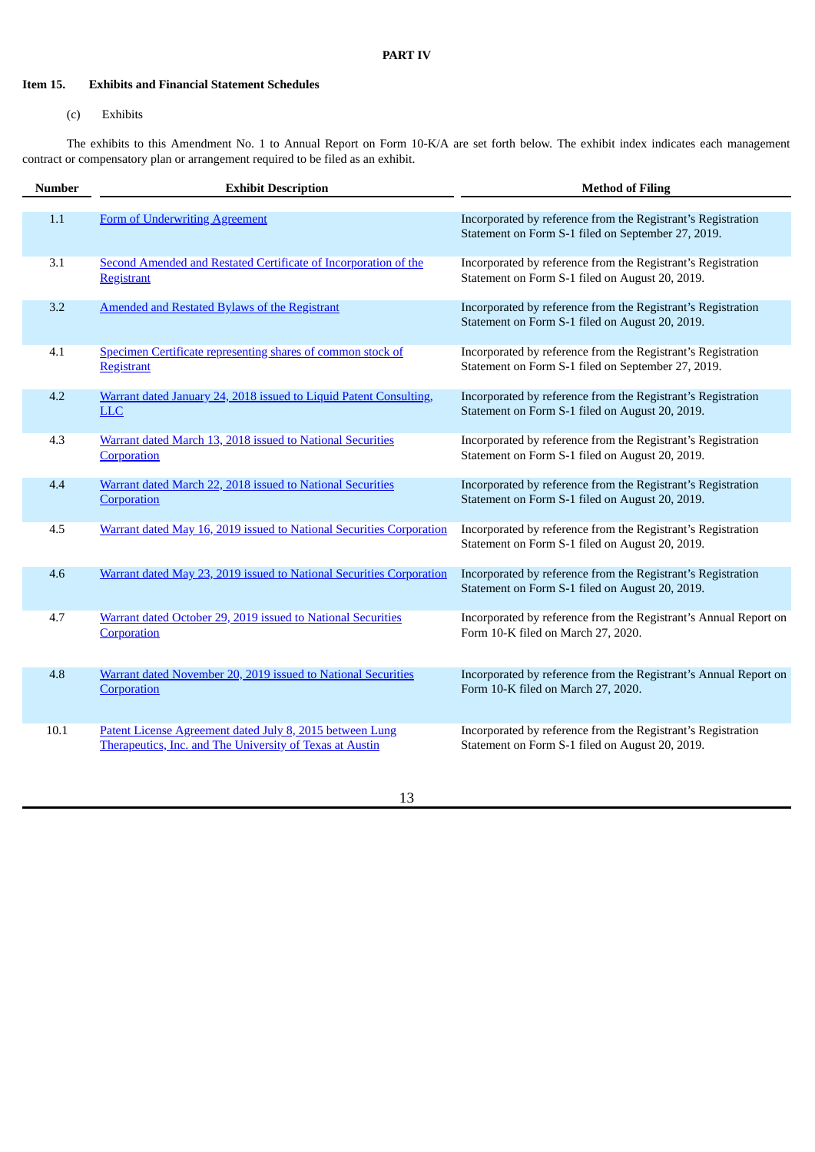# <span id="page-15-0"></span>**Item 15. Exhibits and Financial Statement Schedules**

# (c) Exhibits

The exhibits to this Amendment No. 1 to Annual Report on Form 10-K/A are set forth below. The exhibit index indicates each management contract or compensatory plan or arrangement required to be filed as an exhibit.

| <b>Number</b> | <b>Exhibit Description</b>                                                                                           | <b>Method of Filing</b>                                                                                            |
|---------------|----------------------------------------------------------------------------------------------------------------------|--------------------------------------------------------------------------------------------------------------------|
| 1.1           | Form of Underwriting Agreement                                                                                       | Incorporated by reference from the Registrant's Registration<br>Statement on Form S-1 filed on September 27, 2019. |
| 3.1           | Second Amended and Restated Certificate of Incorporation of the<br><b>Registrant</b>                                 | Incorporated by reference from the Registrant's Registration<br>Statement on Form S-1 filed on August 20, 2019.    |
| 3.2           | <b>Amended and Restated Bylaws of the Registrant</b>                                                                 | Incorporated by reference from the Registrant's Registration<br>Statement on Form S-1 filed on August 20, 2019.    |
| 4.1           | Specimen Certificate representing shares of common stock of<br>Registrant                                            | Incorporated by reference from the Registrant's Registration<br>Statement on Form S-1 filed on September 27, 2019. |
| 4.2           | Warrant dated January 24, 2018 issued to Liquid Patent Consulting,<br><b>LLC</b>                                     | Incorporated by reference from the Registrant's Registration<br>Statement on Form S-1 filed on August 20, 2019.    |
| 4.3           | Warrant dated March 13, 2018 issued to National Securities<br>Corporation                                            | Incorporated by reference from the Registrant's Registration<br>Statement on Form S-1 filed on August 20, 2019.    |
| 4.4           | Warrant dated March 22, 2018 issued to National Securities<br>Corporation                                            | Incorporated by reference from the Registrant's Registration<br>Statement on Form S-1 filed on August 20, 2019.    |
| 4.5           | Warrant dated May 16, 2019 issued to National Securities Corporation                                                 | Incorporated by reference from the Registrant's Registration<br>Statement on Form S-1 filed on August 20, 2019.    |
| 4.6           | Warrant dated May 23, 2019 issued to National Securities Corporation                                                 | Incorporated by reference from the Registrant's Registration<br>Statement on Form S-1 filed on August 20, 2019.    |
| 4.7           | Warrant dated October 29, 2019 issued to National Securities<br>Corporation                                          | Incorporated by reference from the Registrant's Annual Report on<br>Form 10-K filed on March 27, 2020.             |
| 4.8           | Warrant dated November 20, 2019 issued to National Securities<br>Corporation                                         | Incorporated by reference from the Registrant's Annual Report on<br>Form 10-K filed on March 27, 2020.             |
| 10.1          | Patent License Agreement dated July 8, 2015 between Lung<br>Therapeutics, Inc. and The University of Texas at Austin | Incorporated by reference from the Registrant's Registration<br>Statement on Form S-1 filed on August 20, 2019.    |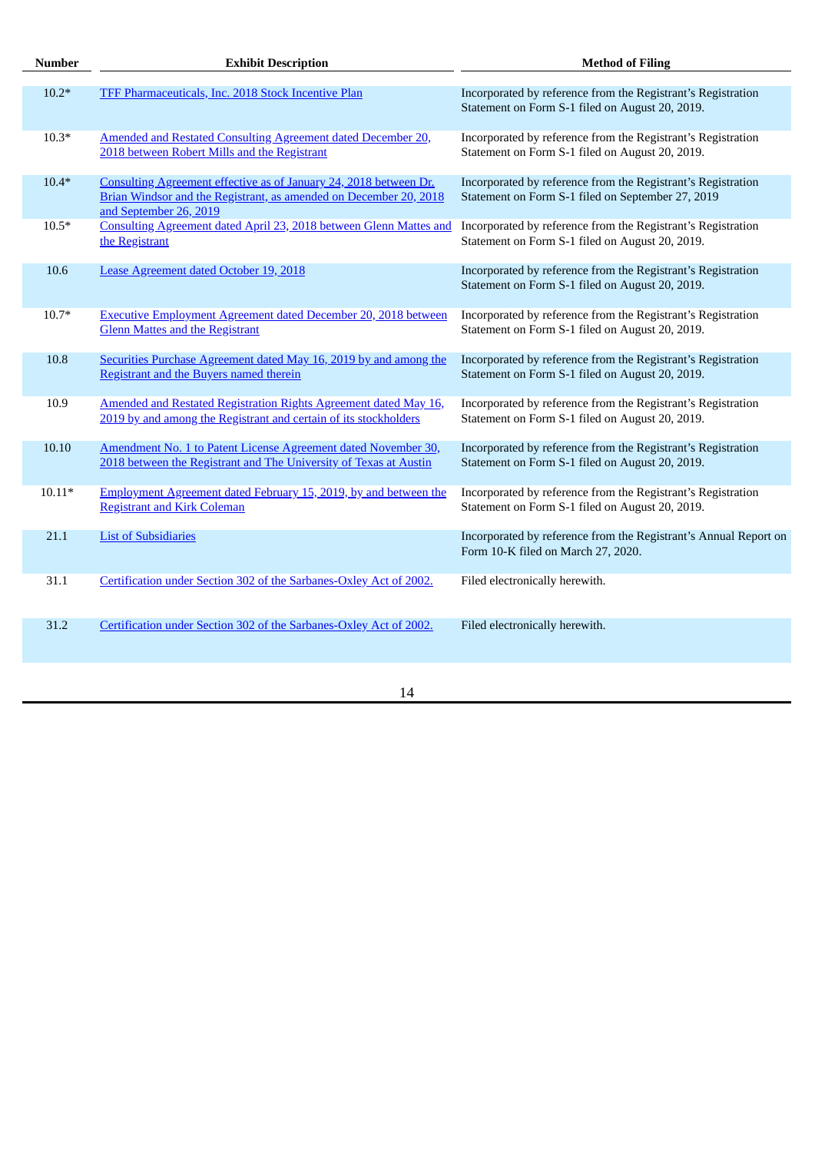| <b>Number</b> | <b>Exhibit Description</b>                                                                                                                                       | <b>Method of Filing</b>                                                                                           |
|---------------|------------------------------------------------------------------------------------------------------------------------------------------------------------------|-------------------------------------------------------------------------------------------------------------------|
| $10.2*$       | TFF Pharmaceuticals, Inc. 2018 Stock Incentive Plan                                                                                                              | Incorporated by reference from the Registrant's Registration<br>Statement on Form S-1 filed on August 20, 2019.   |
| $10.3*$       | <b>Amended and Restated Consulting Agreement dated December 20,</b><br>2018 between Robert Mills and the Registrant                                              | Incorporated by reference from the Registrant's Registration<br>Statement on Form S-1 filed on August 20, 2019.   |
| $10.4*$       | Consulting Agreement effective as of January 24, 2018 between Dr.<br>Brian Windsor and the Registrant, as amended on December 20, 2018<br>and September 26, 2019 | Incorporated by reference from the Registrant's Registration<br>Statement on Form S-1 filed on September 27, 2019 |
| $10.5*$       | Consulting Agreement dated April 23, 2018 between Glenn Mattes and<br>the Registrant                                                                             | Incorporated by reference from the Registrant's Registration<br>Statement on Form S-1 filed on August 20, 2019.   |
| 10.6          | Lease Agreement dated October 19, 2018                                                                                                                           | Incorporated by reference from the Registrant's Registration<br>Statement on Form S-1 filed on August 20, 2019.   |
| $10.7*$       | <b>Executive Employment Agreement dated December 20, 2018 between</b><br><b>Glenn Mattes and the Registrant</b>                                                  | Incorporated by reference from the Registrant's Registration<br>Statement on Form S-1 filed on August 20, 2019.   |
| 10.8          | Securities Purchase Agreement dated May 16, 2019 by and among the<br>Registrant and the Buyers named therein                                                     | Incorporated by reference from the Registrant's Registration<br>Statement on Form S-1 filed on August 20, 2019.   |
| 10.9          | Amended and Restated Registration Rights Agreement dated May 16,<br>2019 by and among the Registrant and certain of its stockholders                             | Incorporated by reference from the Registrant's Registration<br>Statement on Form S-1 filed on August 20, 2019.   |
| 10.10         | Amendment No. 1 to Patent License Agreement dated November 30,<br>2018 between the Registrant and The University of Texas at Austin                              | Incorporated by reference from the Registrant's Registration<br>Statement on Form S-1 filed on August 20, 2019.   |
| $10.11*$      | Employment Agreement dated February 15, 2019, by and between the<br><b>Registrant and Kirk Coleman</b>                                                           | Incorporated by reference from the Registrant's Registration<br>Statement on Form S-1 filed on August 20, 2019.   |
| 21.1          | <b>List of Subsidiaries</b>                                                                                                                                      | Incorporated by reference from the Registrant's Annual Report on<br>Form 10-K filed on March 27, 2020.            |
| 31.1          | Certification under Section 302 of the Sarbanes-Oxley Act of 2002.                                                                                               | Filed electronically herewith.                                                                                    |
| 31.2          | Certification under Section 302 of the Sarbanes-Oxley Act of 2002.                                                                                               | Filed electronically herewith.                                                                                    |
|               |                                                                                                                                                                  |                                                                                                                   |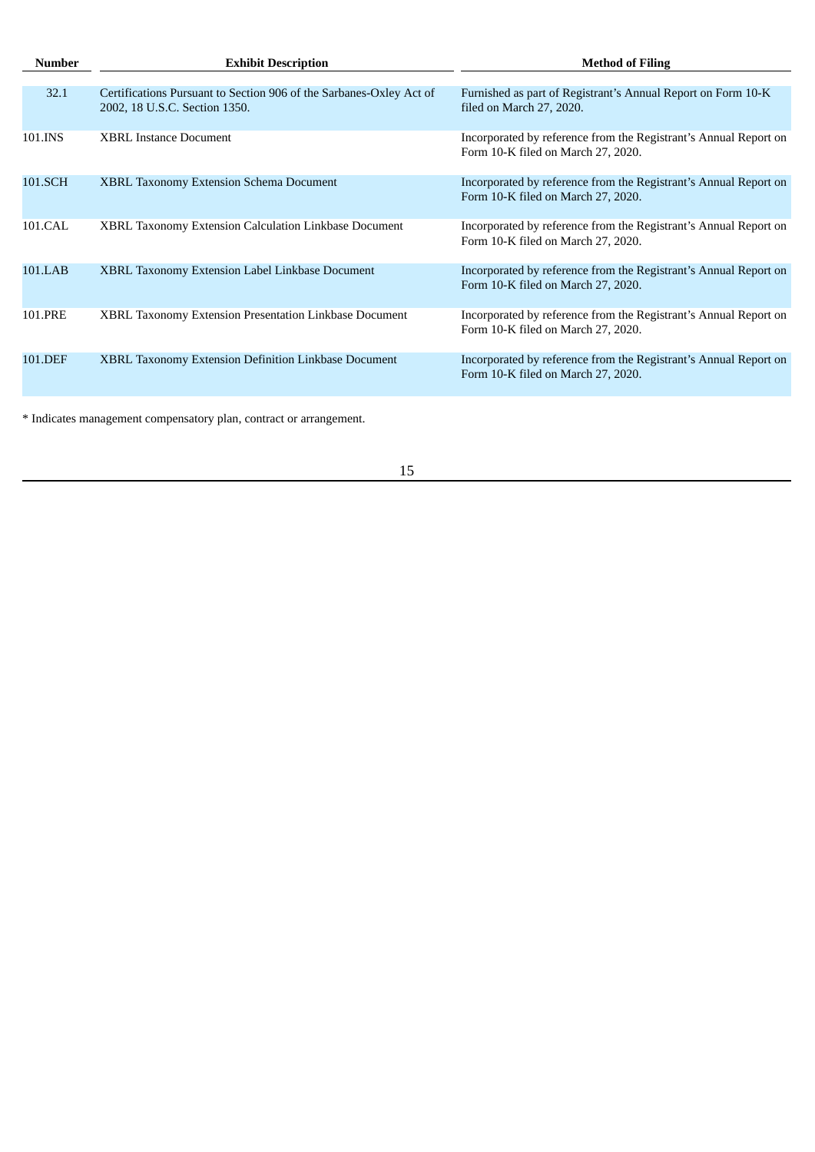| Number  | <b>Exhibit Description</b>                                                                           | <b>Method of Filing</b>                                                                                |
|---------|------------------------------------------------------------------------------------------------------|--------------------------------------------------------------------------------------------------------|
|         |                                                                                                      |                                                                                                        |
| 32.1    | Certifications Pursuant to Section 906 of the Sarbanes-Oxley Act of<br>2002, 18 U.S.C. Section 1350. | Furnished as part of Registrant's Annual Report on Form 10-K<br>filed on March 27, 2020.               |
| 101.INS | <b>XBRL Instance Document</b>                                                                        | Incorporated by reference from the Registrant's Annual Report on<br>Form 10-K filed on March 27, 2020. |
| 101.SCH | <b>XBRL Taxonomy Extension Schema Document</b>                                                       | Incorporated by reference from the Registrant's Annual Report on<br>Form 10-K filed on March 27, 2020. |
| 101.CAL | <b>XBRL Taxonomy Extension Calculation Linkbase Document</b>                                         | Incorporated by reference from the Registrant's Annual Report on<br>Form 10-K filed on March 27, 2020. |
| 101.LAB | <b>XBRL Taxonomy Extension Label Linkbase Document</b>                                               | Incorporated by reference from the Registrant's Annual Report on<br>Form 10-K filed on March 27, 2020. |
| 101.PRE | XBRL Taxonomy Extension Presentation Linkbase Document                                               | Incorporated by reference from the Registrant's Annual Report on<br>Form 10-K filed on March 27, 2020. |
| 101.DEF | XBRL Taxonomy Extension Definition Linkbase Document                                                 | Incorporated by reference from the Registrant's Annual Report on<br>Form 10-K filed on March 27, 2020. |
|         |                                                                                                      |                                                                                                        |

\* Indicates management compensatory plan, contract or arrangement.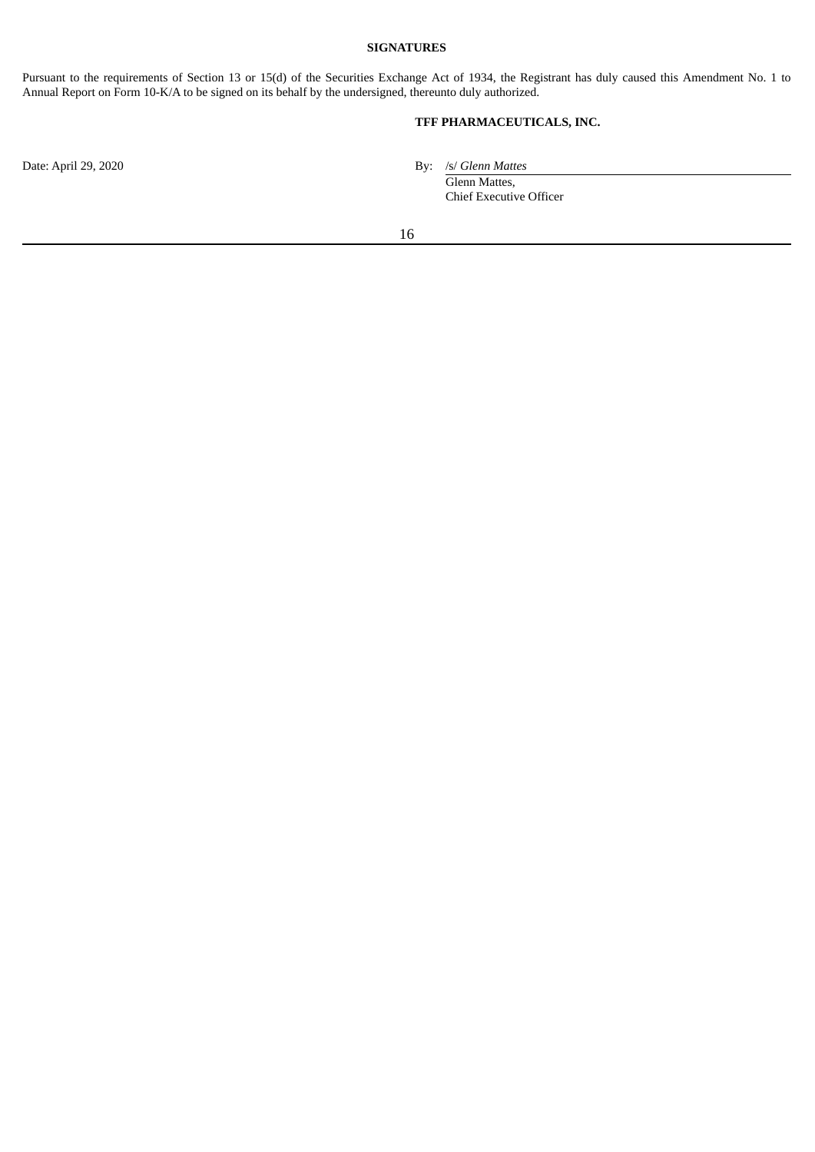# **SIGNATURES**

<span id="page-18-0"></span>Pursuant to the requirements of Section 13 or 15(d) of the Securities Exchange Act of 1934, the Registrant has duly caused this Amendment No. 1 to Annual Report on Form 10-K/A to be signed on its behalf by the undersigned, thereunto duly authorized.

# **TFF PHARMACEUTICALS, INC.**

Date: April 29, 2020 By: /s/ *Glenn Mattes* 

Glenn Mattes, Chief Executive Officer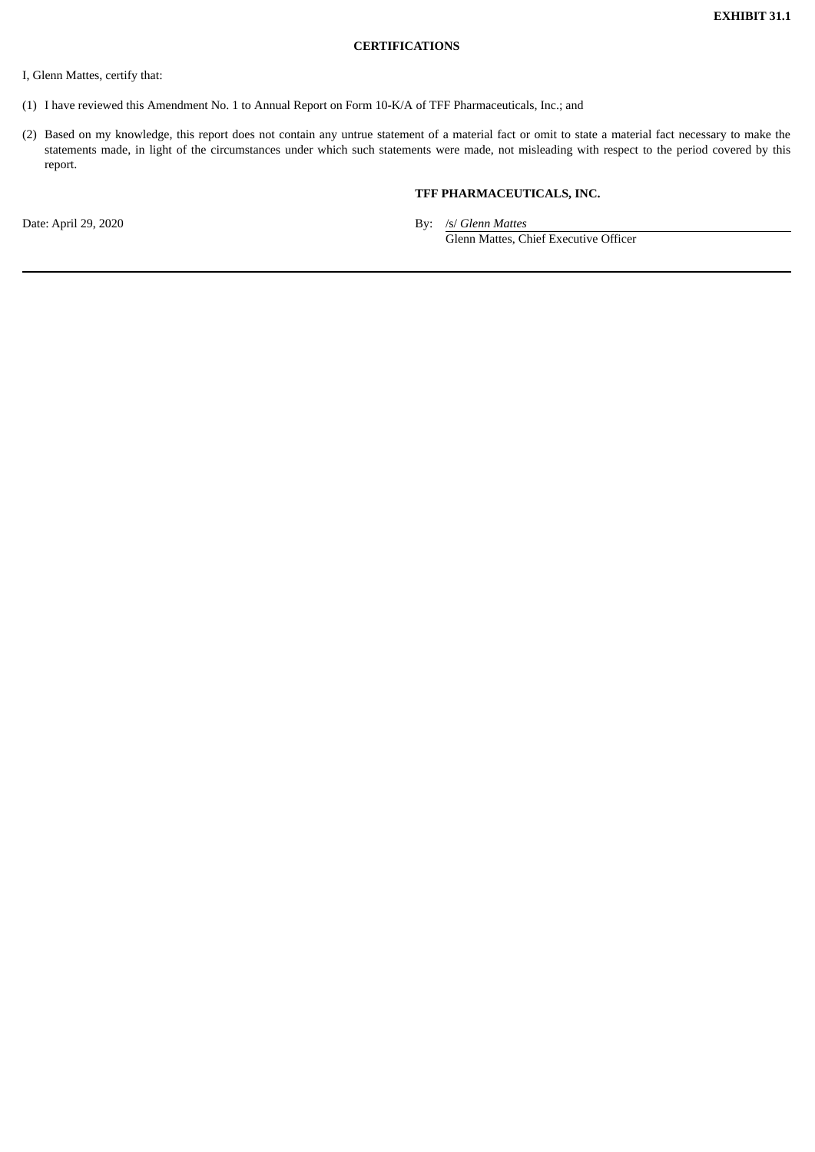### **CERTIFICATIONS**

<span id="page-19-0"></span>I, Glenn Mattes, certify that:

- (1) I have reviewed this Amendment No. 1 to Annual Report on Form 10-K/A of TFF Pharmaceuticals, Inc.; and
- (2) Based on my knowledge, this report does not contain any untrue statement of a material fact or omit to state a material fact necessary to make the statements made, in light of the circumstances under which such statements were made, not misleading with respect to the period covered by this report.

# **TFF PHARMACEUTICALS, INC.**

Date: April 29, 2020 By: /s/ *Glenn Mattes* Glenn Mattes, Chief Executive Officer